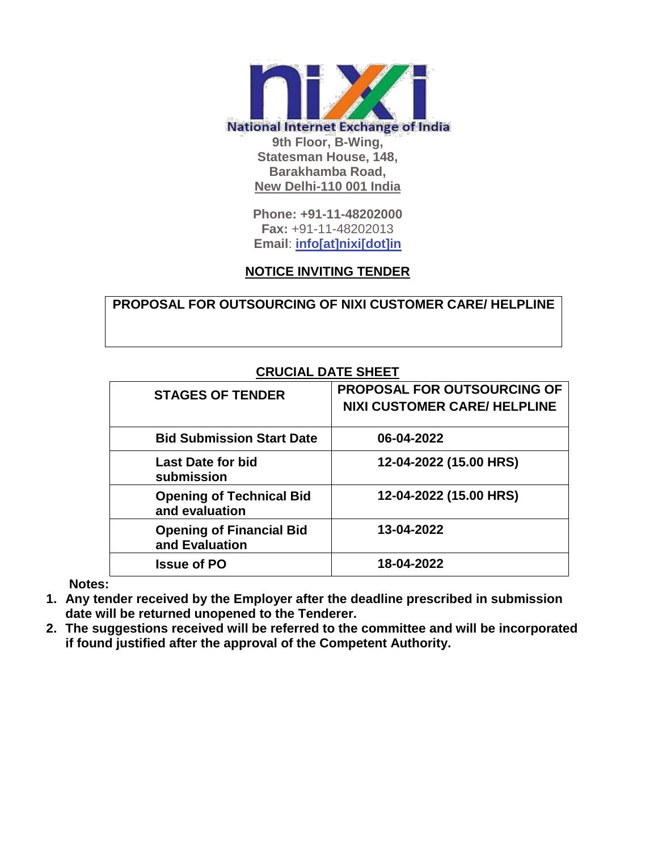

**Phone: +91-11-48202000 Fax:** +91-11-48202013 **Email**: **[info\[at\]nixi\[dot\]in](mailto:info[at]nixi[dot]in)**

## **NOTICE INVITING TENDER**

**PROPOSAL FOR OUTSOURCING OF NIXI CUSTOMER CARE/ HELPLINE**

| VRVVIAL DATE VITLET                               |                                     |  |  |  |  |
|---------------------------------------------------|-------------------------------------|--|--|--|--|
| <b>STAGES OF TENDER</b>                           | <b>PROPOSAL FOR OUTSOURCING OF</b>  |  |  |  |  |
|                                                   | <b>NIXI CUSTOMER CARE/ HELPLINE</b> |  |  |  |  |
| <b>Bid Submission Start Date</b>                  | 06-04-2022                          |  |  |  |  |
| Last Date for bid<br>submission                   | 12-04-2022 (15.00 HRS)              |  |  |  |  |
| <b>Opening of Technical Bid</b><br>and evaluation | 12-04-2022 (15.00 HRS)              |  |  |  |  |
| <b>Opening of Financial Bid</b><br>and Evaluation | 13-04-2022                          |  |  |  |  |
| <b>Issue of PO</b>                                | 18-04-2022                          |  |  |  |  |

## **CRUCIAL DATE SHEET**

**Notes:**

- **1. Any tender received by the Employer after the deadline prescribed in submission date will be returned unopened to the Tenderer.**
- **2. The suggestions received will be referred to the committee and will be incorporated if found justified after the approval of the Competent Authority.**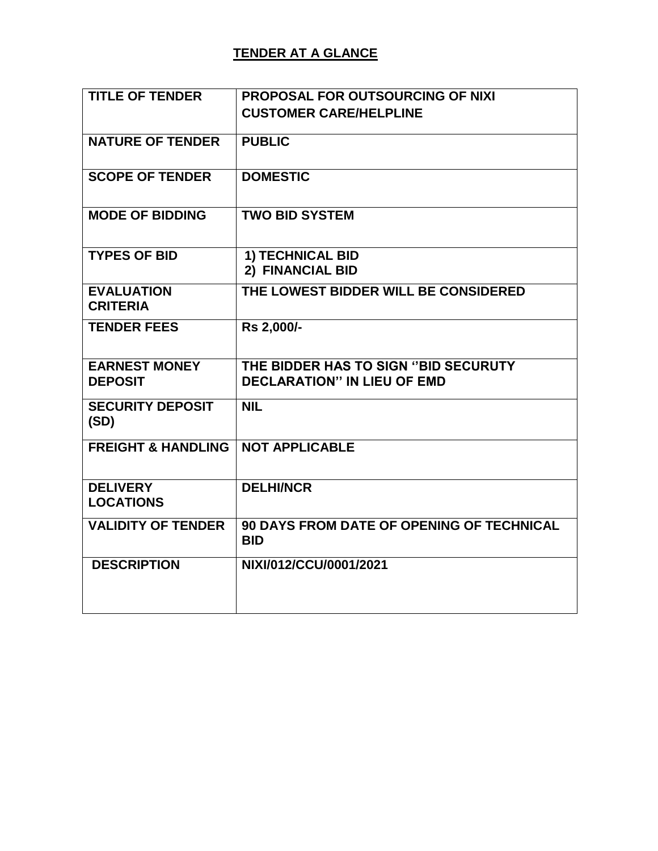## **TENDER AT A GLANCE**

| <b>TITLE OF TENDER</b>                 | <b>PROPOSAL FOR OUTSOURCING OF NIXI</b>                                    |
|----------------------------------------|----------------------------------------------------------------------------|
|                                        | <b>CUSTOMER CARE/HELPLINE</b>                                              |
| <b>NATURE OF TENDER</b>                | <b>PUBLIC</b>                                                              |
| <b>SCOPE OF TENDER</b>                 | <b>DOMESTIC</b>                                                            |
| <b>MODE OF BIDDING</b>                 | <b>TWO BID SYSTEM</b>                                                      |
| <b>TYPES OF BID</b>                    | <b>1) TECHNICAL BID</b><br>2) FINANCIAL BID                                |
| <b>EVALUATION</b><br><b>CRITERIA</b>   | THE LOWEST BIDDER WILL BE CONSIDERED                                       |
| <b>TENDER FEES</b>                     | Rs 2,000/-                                                                 |
| <b>EARNEST MONEY</b><br><b>DEPOSIT</b> | THE BIDDER HAS TO SIGN "BID SECURUTY<br><b>DECLARATION" IN LIEU OF EMD</b> |
| <b>SECURITY DEPOSIT</b><br>(SD)        | <b>NIL</b>                                                                 |
| <b>FREIGHT &amp; HANDLING</b>          | <b>NOT APPLICABLE</b>                                                      |
| <b>DELIVERY</b><br><b>LOCATIONS</b>    | <b>DELHI/NCR</b>                                                           |
| <b>VALIDITY OF TENDER</b>              | <b>90 DAYS FROM DATE OF OPENING OF TECHNICAL</b><br><b>BID</b>             |
| <b>DESCRIPTION</b>                     | NIXI/012/CCU/0001/2021                                                     |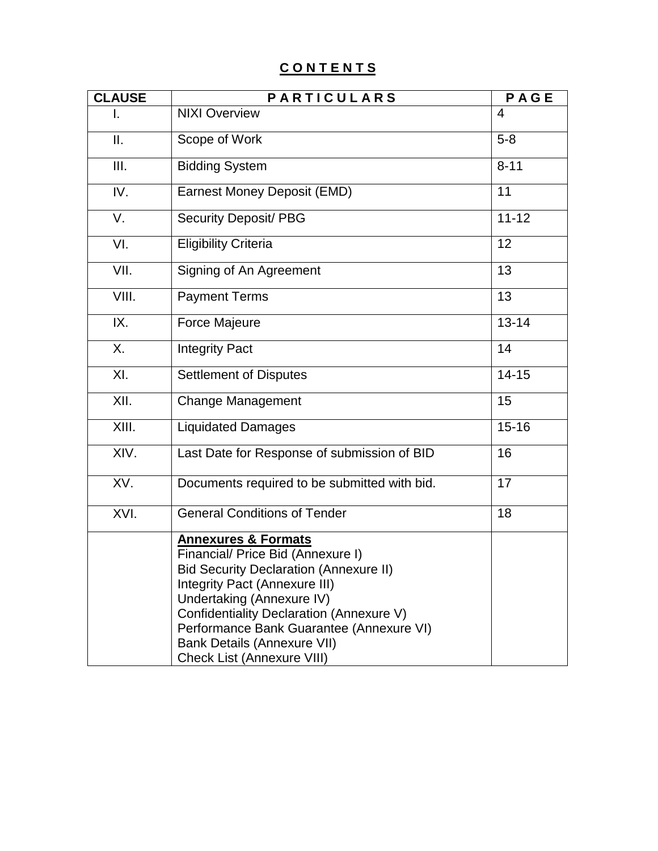# **C O N T E N T S**

| <b>CLAUSE</b> | <b>PARTICULARS</b>                                                                                                                                                                                                                                                                                                                                    | PAGE      |
|---------------|-------------------------------------------------------------------------------------------------------------------------------------------------------------------------------------------------------------------------------------------------------------------------------------------------------------------------------------------------------|-----------|
|               | <b>NIXI Overview</b>                                                                                                                                                                                                                                                                                                                                  | 4         |
| Ш.            | Scope of Work                                                                                                                                                                                                                                                                                                                                         | $5-8$     |
| III.          | <b>Bidding System</b>                                                                                                                                                                                                                                                                                                                                 | $8 - 11$  |
| IV.           | <b>Earnest Money Deposit (EMD)</b>                                                                                                                                                                                                                                                                                                                    | 11        |
| V.            | <b>Security Deposit/ PBG</b>                                                                                                                                                                                                                                                                                                                          | $11 - 12$ |
| VI.           | <b>Eligibility Criteria</b>                                                                                                                                                                                                                                                                                                                           | 12        |
| VII.          | Signing of An Agreement                                                                                                                                                                                                                                                                                                                               | 13        |
| VIII.         | <b>Payment Terms</b>                                                                                                                                                                                                                                                                                                                                  | 13        |
| IX.           | Force Majeure                                                                                                                                                                                                                                                                                                                                         | $13 - 14$ |
| Χ.            | <b>Integrity Pact</b>                                                                                                                                                                                                                                                                                                                                 | 14        |
| XI.           | <b>Settlement of Disputes</b>                                                                                                                                                                                                                                                                                                                         | $14 - 15$ |
| XII.          | Change Management                                                                                                                                                                                                                                                                                                                                     | 15        |
| XIII.         | <b>Liquidated Damages</b>                                                                                                                                                                                                                                                                                                                             | $15 - 16$ |
| XIV.          | Last Date for Response of submission of BID                                                                                                                                                                                                                                                                                                           | 16        |
| XV.           | Documents required to be submitted with bid.                                                                                                                                                                                                                                                                                                          | 17        |
| XVI.          | <b>General Conditions of Tender</b>                                                                                                                                                                                                                                                                                                                   | 18        |
|               | <b>Annexures &amp; Formats</b><br>Financial/ Price Bid (Annexure I)<br><b>Bid Security Declaration (Annexure II)</b><br>Integrity Pact (Annexure III)<br>Undertaking (Annexure IV)<br>Confidentiality Declaration (Annexure V)<br>Performance Bank Guarantee (Annexure VI)<br><b>Bank Details (Annexure VII)</b><br><b>Check List (Annexure VIII)</b> |           |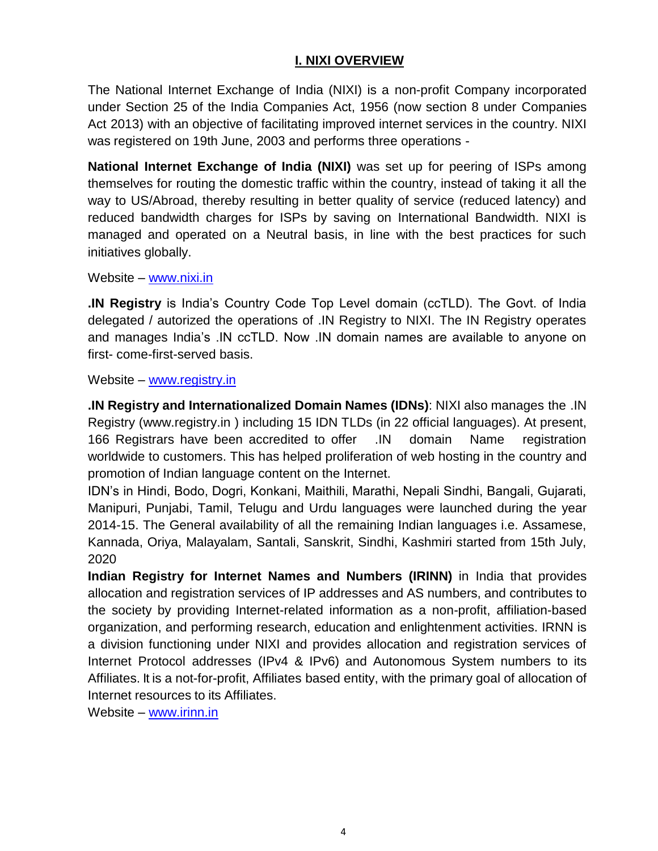## **I. NIXI OVERVIEW**

The National Internet Exchange of India (NIXI) is a [non-profit C](https://en.wikipedia.org/wiki/Non-profit)ompany incorporated under Section 25 of the India Companies Act, 1956 (now section 8 under [Companies](https://en.wikipedia.org/wiki/Companies_Act_2013)  [Act 2013\)](https://en.wikipedia.org/wiki/Companies_Act_2013) with an objective of facilitating improved internet services in the country. NIXI was registered on 19th June, 2003 and performs three operations -

**National Internet Exchange of India (NIXI)** was set up for peering of ISPs among themselves for routing the domestic traffic within the country, instead of taking it all the way to US/Abroad, thereby resulting in better quality of service (reduced latency) and reduced bandwidth charges for ISPs by saving on International Bandwidth. NIXI is managed and operated on a Neutral basis, in line with the best practices for such initiatives globally.

Website – [www.nixi.in](http://www.nixi.in/)

**.IN Registry** is India"s Country Code Top Level domain (ccTLD). The Govt. of India delegated / autorized the operations of .IN Registry to NIXI. The IN Registry operates and manages India"s .IN ccTLD. Now .IN domain names are available to anyone on first- come-first-served basis.

Website – [www.registry.in](http://www.registry.in/)

**.IN Registry and Internationalized Domain Names (IDNs)**: NIXI also manages the .IN Registry [\(www.registry.in \)](http://www.registry.in/) including 15 IDN TLDs (in 22 official languages). At present, 166 Registrars have been accredited to offer .IN domain Name registration worldwide to customers. This has helped proliferation of web hosting in the country and promotion of Indian language content on the Internet.

IDN"s in Hindi, Bodo, Dogri, Konkani, Maithili, Marathi, Nepali Sindhi, Bangali, Gujarati, Manipuri, Punjabi, Tamil, Telugu and Urdu languages were launched during the year 2014-15. The General availability of all the remaining Indian languages i.e. Assamese, Kannada, Oriya, Malayalam, Santali, Sanskrit, Sindhi, Kashmiri started from 15th July, 2020

**Indian Registry for Internet Names and Numbers (IRINN)** in India that provides allocation and registration services of IP addresses and AS numbers, and contributes to the society by providing Internet-related information as a non-profit, affiliation-based organization, and performing research, education and enlightenment activities. IRNN is a division functioning under NIXI and provides allocation and registration services of Internet Protocol addresses (IPv4 & IPv6) and Autonomous System numbers to its Affiliates. It is a not-for-profit, Affiliates based entity, with the primary goal of allocation of Internet resources to its Affiliates.

Website – [www.irinn.in](http://www.irinn.in/)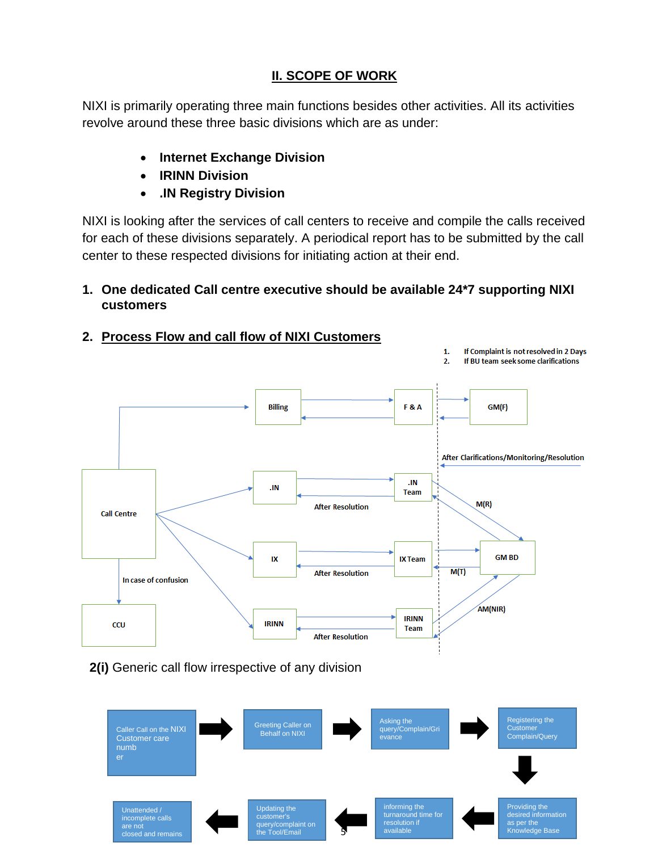## **II. SCOPE OF WORK**

NIXI is primarily operating three main functions besides other activities. All its activities revolve around these three basic divisions which are as under:

- **Internet Exchange Division**
- **IRINN Division**
- **.IN Registry Division**

NIXI is looking after the services of call centers to receive and compile the calls received for each of these divisions separately. A periodical report has to be submitted by the call center to these respected divisions for initiating action at their end.

## **1. One dedicated Call centre executive should be available 24\*7 supporting NIXI customers**

**2. Process Flow and call flow of NIXI Customers**



 **2(i)** Generic call flow irrespective of any division

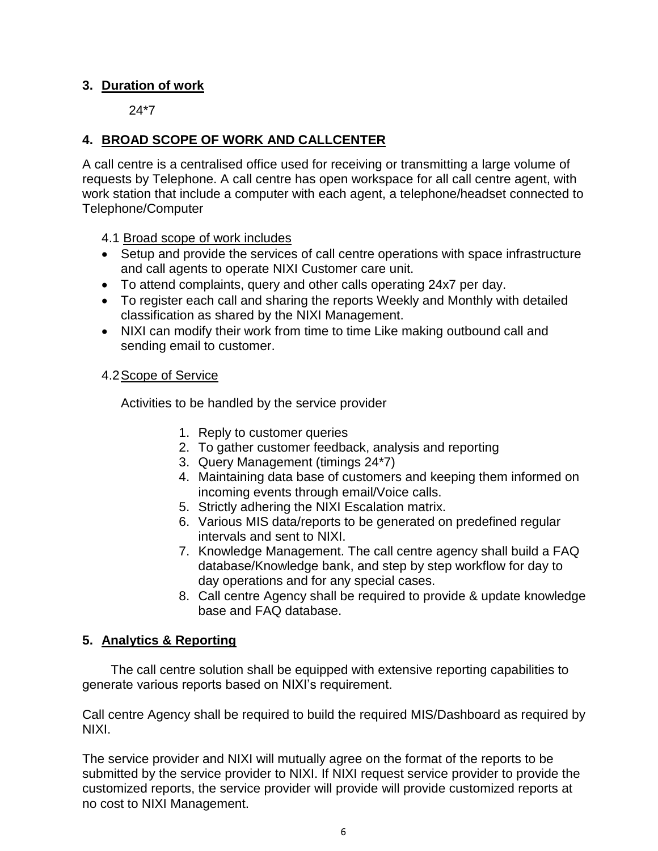### **3. Duration of work**

24\*7

## **4. BROAD SCOPE OF WORK AND CALLCENTER**

A call centre is a centralised office used for receiving or transmitting a large volume of requests by Telephone. A call centre has open workspace for all call centre agent, with work station that include a computer with each agent, a telephone/headset connected to Telephone/Computer

- 4.1 Broad scope of work includes
- Setup and provide the services of call centre operations with space infrastructure and call agents to operate NIXI Customer care unit.
- To attend complaints, query and other calls operating 24x7 per day.
- To register each call and sharing the reports Weekly and Monthly with detailed classification as shared by the NIXI Management.
- NIXI can modify their work from time to time Like making outbound call and sending email to customer.

### 4.2Scope of Service

Activities to be handled by the service provider

- 1. Reply to customer queries
- 2. To gather customer feedback, analysis and reporting
- 3. Query Management (timings 24\*7)
- 4. Maintaining data base of customers and keeping them informed on incoming events through email/Voice calls.
- 5. Strictly adhering the NIXI Escalation matrix.
- 6. Various MIS data/reports to be generated on predefined regular intervals and sent to NIXI.
- 7. Knowledge Management. The call centre agency shall build a FAQ database/Knowledge bank, and step by step workflow for day to day operations and for any special cases.
- 8. Call centre Agency shall be required to provide & update knowledge base and FAQ database.

## **5. Analytics & Reporting**

 The call centre solution shall be equipped with extensive reporting capabilities to generate various reports based on NIXI"s requirement.

Call centre Agency shall be required to build the required MIS/Dashboard as required by NIXI.

The service provider and NIXI will mutually agree on the format of the reports to be submitted by the service provider to NIXI. If NIXI request service provider to provide the customized reports, the service provider will provide will provide customized reports at no cost to NIXI Management.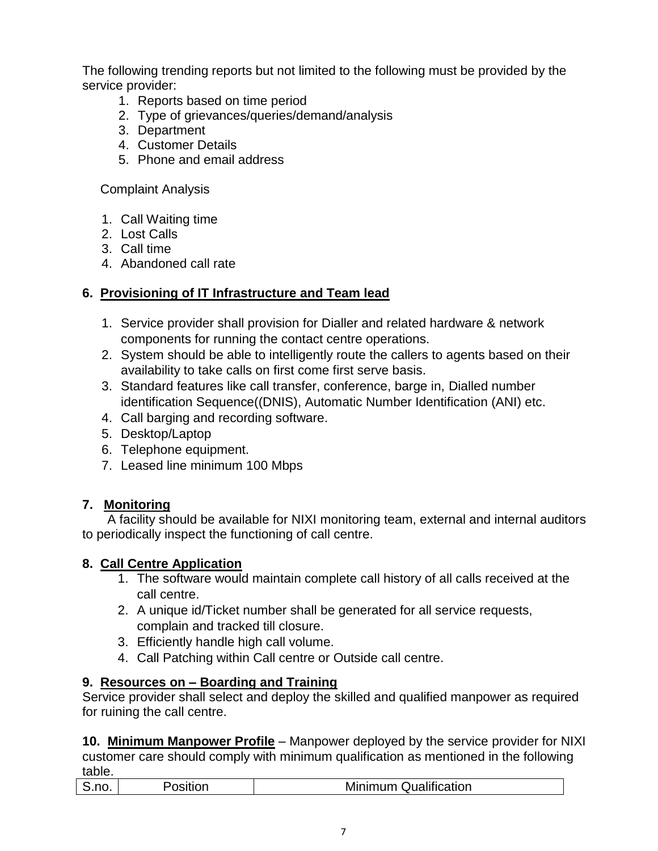The following trending reports but not limited to the following must be provided by the service provider:

- 1. Reports based on time period
- 2. Type of grievances/queries/demand/analysis
- 3. Department
- 4. Customer Details
- 5. Phone and email address

Complaint Analysis

- 1. Call Waiting time
- 2. Lost Calls
- 3. Call time
- 4. Abandoned call rate

## **6. Provisioning of IT Infrastructure and Team lead**

- 1. Service provider shall provision for Dialler and related hardware & network components for running the contact centre operations.
- 2. System should be able to intelligently route the callers to agents based on their availability to take calls on first come first serve basis.
- 3. Standard features like call transfer, conference, barge in, Dialled number identification Sequence((DNIS), Automatic Number Identification (ANI) etc.
- 4. Call barging and recording software.
- 5. Desktop/Laptop
- 6. Telephone equipment.
- 7. Leased line minimum 100 Mbps

## **7. Monitoring**

 A facility should be available for NIXI monitoring team, external and internal auditors to periodically inspect the functioning of call centre.

## **8. Call Centre Application**

- 1. The software would maintain complete call history of all calls received at the call centre.
- 2. A unique id/Ticket number shall be generated for all service requests, complain and tracked till closure.
- 3. Efficiently handle high call volume.
- 4. Call Patching within Call centre or Outside call centre.

## **9. Resources on – Boarding and Training**

Service provider shall select and deploy the skilled and qualified manpower as required for ruining the call centre.

**10. Minimum Manpower Profile** – Manpower deployed by the service provider for NIXI customer care should comply with minimum qualification as mentioned in the following table.

|  |  |  | <b>Minimum Qualification</b> |
|--|--|--|------------------------------|
|--|--|--|------------------------------|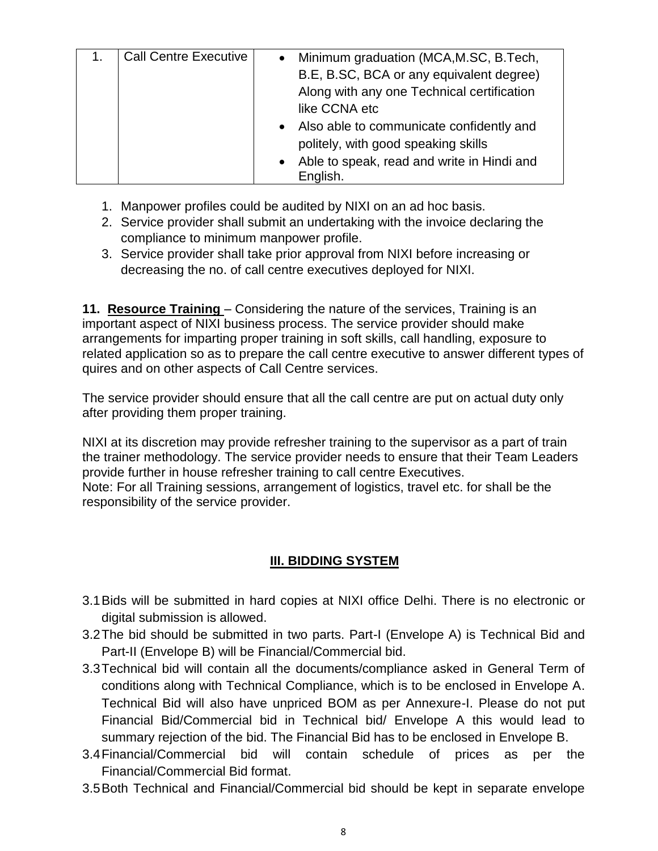| <b>Call Centre Executive</b> | • Minimum graduation (MCA, M.SC, B.Tech,     |
|------------------------------|----------------------------------------------|
|                              | B.E, B.SC, BCA or any equivalent degree)     |
|                              | Along with any one Technical certification   |
|                              | like CCNA etc                                |
|                              | • Also able to communicate confidently and   |
|                              | politely, with good speaking skills          |
|                              | • Able to speak, read and write in Hindi and |
|                              | English.                                     |

- 1. Manpower profiles could be audited by NIXI on an ad hoc basis.
- 2. Service provider shall submit an undertaking with the invoice declaring the compliance to minimum manpower profile.
- 3. Service provider shall take prior approval from NIXI before increasing or decreasing the no. of call centre executives deployed for NIXI.

**11. Resource Training** – Considering the nature of the services, Training is an important aspect of NIXI business process. The service provider should make arrangements for imparting proper training in soft skills, call handling, exposure to related application so as to prepare the call centre executive to answer different types of quires and on other aspects of Call Centre services.

The service provider should ensure that all the call centre are put on actual duty only after providing them proper training.

NIXI at its discretion may provide refresher training to the supervisor as a part of train the trainer methodology. The service provider needs to ensure that their Team Leaders provide further in house refresher training to call centre Executives. Note: For all Training sessions, arrangement of logistics, travel etc. for shall be the responsibility of the service provider.

# **III. BIDDING SYSTEM**

- 3.1Bids will be submitted in hard copies at NIXI office Delhi. There is no electronic or digital submission is allowed.
- 3.2The bid should be submitted in two parts. Part-I (Envelope A) is Technical Bid and Part-II (Envelope B) will be Financial/Commercial bid.
- 3.3Technical bid will contain all the documents/compliance asked in General Term of conditions along with Technical Compliance, which is to be enclosed in Envelope A. Technical Bid will also have unpriced BOM as per Annexure-I. Please do not put Financial Bid/Commercial bid in Technical bid/ Envelope A this would lead to summary rejection of the bid. The Financial Bid has to be enclosed in Envelope B.
- 3.4Financial/Commercial bid will contain schedule of prices as per the Financial/Commercial Bid format.
- 3.5Both Technical and Financial/Commercial bid should be kept in separate envelope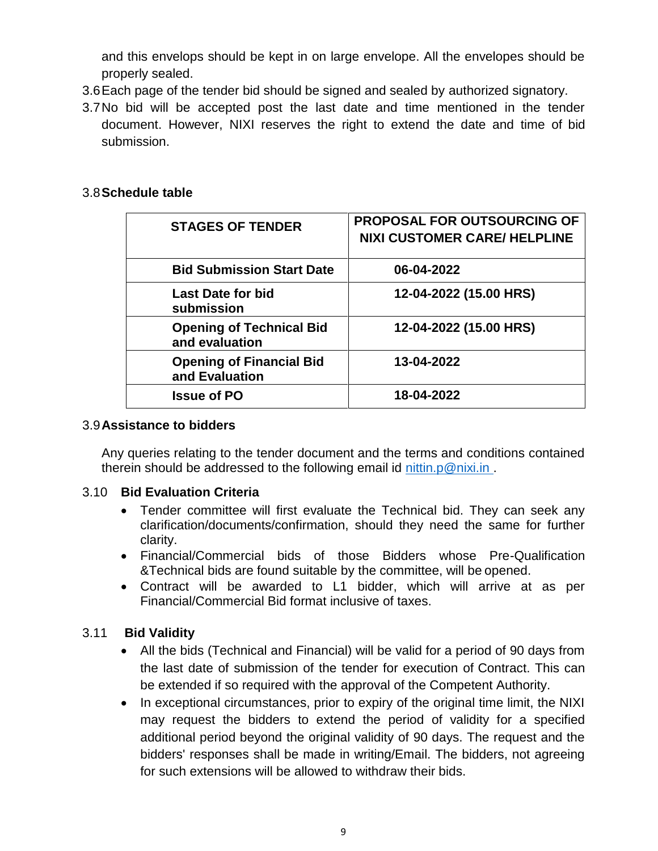and this envelops should be kept in on large envelope. All the envelopes should be properly sealed.

- 3.6Each page of the tender bid should be signed and sealed by authorized signatory.
- 3.7No bid will be accepted post the last date and time mentioned in the tender document. However, NIXI reserves the right to extend the date and time of bid submission.

### 3.8**Schedule table**

| <b>STAGES OF TENDER</b>                           | <b>PROPOSAL FOR OUTSOURCING OF</b><br><b>NIXI CUSTOMER CARE/ HELPLINE</b> |
|---------------------------------------------------|---------------------------------------------------------------------------|
| <b>Bid Submission Start Date</b>                  | 06-04-2022                                                                |
| Last Date for bid<br>submission                   | 12-04-2022 (15.00 HRS)                                                    |
| <b>Opening of Technical Bid</b><br>and evaluation | 12-04-2022 (15.00 HRS)                                                    |
| <b>Opening of Financial Bid</b><br>and Evaluation | 13-04-2022                                                                |
| <b>Issue of PO</b>                                | 18-04-2022                                                                |

#### 3.9**Assistance to bidders**

Any queries relating to the tender document and the terms and conditions contained therein should be addressed to the following email id [nittin.p@nixi.in .](mailto:nittin.p@nixi.in)

#### 3.10 **Bid Evaluation Criteria**

- Tender committee will first evaluate the Technical bid. They can seek any clarification/documents/confirmation, should they need the same for further clarity.
- Financial/Commercial bids of those Bidders whose Pre-Qualification &Technical bids are found suitable by the committee, will be opened.
- Contract will be awarded to L1 bidder, which will arrive at as per Financial/Commercial Bid format inclusive of taxes.

#### 3.11 **Bid Validity**

- All the bids (Technical and Financial) will be valid for a period of 90 days from the last date of submission of the tender for execution of Contract. This can be extended if so required with the approval of the Competent Authority.
- In exceptional circumstances, prior to expiry of the original time limit, the NIXI may request the bidders to extend the period of validity for a specified additional period beyond the original validity of 90 days. The request and the bidders' responses shall be made in writing/Email. The bidders, not agreeing for such extensions will be allowed to withdraw their bids.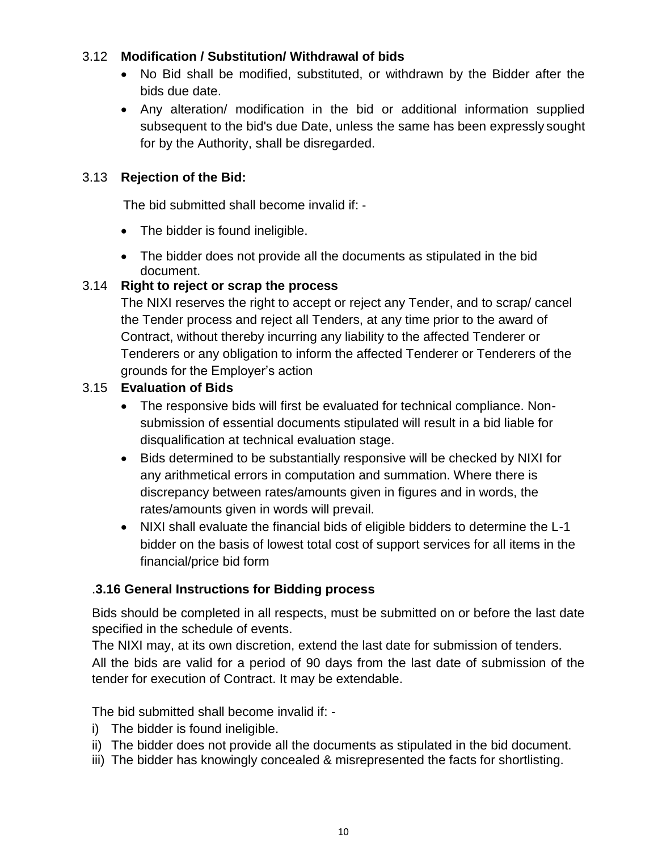## 3.12 **Modification / Substitution/ Withdrawal of bids**

- No Bid shall be modified, substituted, or withdrawn by the Bidder after the bids due date.
- Any alteration/ modification in the bid or additional information supplied subsequent to the bid's due Date, unless the same has been expressly sought for by the Authority, shall be disregarded.

## 3.13 **Rejection of the Bid:**

The bid submitted shall become invalid if: ‐

- The bidder is found ineligible.
- The bidder does not provide all the documents as stipulated in the bid document.

## 3.14 **Right to reject or scrap the process**

The NIXI reserves the right to accept or reject any Tender, and to scrap/ cancel the Tender process and reject all Tenders, at any time prior to the award of Contract, without thereby incurring any liability to the affected Tenderer or Tenderers or any obligation to inform the affected Tenderer or Tenderers of the grounds for the Employer"s action

## 3.15 **Evaluation of Bids**

- The responsive bids will first be evaluated for technical compliance. Nonsubmission of essential documents stipulated will result in a bid liable for disqualification at technical evaluation stage.
- Bids determined to be substantially responsive will be checked by NIXI for any arithmetical errors in computation and summation. Where there is discrepancy between rates/amounts given in figures and in words, the rates/amounts given in words will prevail.
- NIXI shall evaluate the financial bids of eligible bidders to determine the L-1 bidder on the basis of lowest total cost of support services for all items in the financial/price bid form

## .**3.16 General Instructions for Bidding process**

Bids should be completed in all respects, must be submitted on or before the last date specified in the schedule of events.

The NIXI may, at its own discretion, extend the last date for submission of tenders. All the bids are valid for a period of 90 days from the last date of submission of the tender for execution of Contract. It may be extendable.

The bid submitted shall become invalid if: -

- i) The bidder is found ineligible.
- ii) The bidder does not provide all the documents as stipulated in the bid document.
- iii) The bidder has knowingly concealed & misrepresented the facts for shortlisting.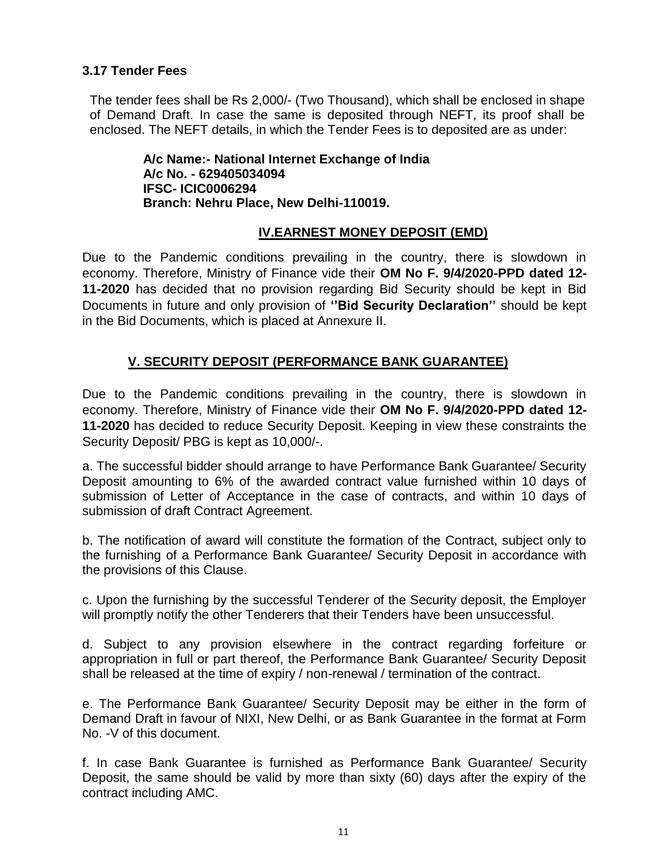### **3.17 Tender Fees**

The tender fees shall be Rs 2,000/- (Two Thousand), which shall be enclosed in shape of Demand Draft. In case the same is deposited through NEFT, its proof shall be enclosed. The NEFT details, in which the Tender Fees is to deposited are as under:

> **A/c Name:- National Internet Exchange of India A/c No. - 629405034094 IFSC- ICIC0006294 Branch: Nehru Place, New Delhi-110019.**

#### **IV.EARNEST MONEY DEPOSIT (EMD)**

Due to the Pandemic conditions prevailing in the country, there is slowdown in economy. Therefore, Ministry of Finance vide their **OM No F. 9/4/2020-PPD dated 12- 11-2020** has decided that no provision regarding Bid Security should be kept in Bid Documents in future and only provision of **""Bid Security Declaration""** should be kept in the Bid Documents, which is placed at Annexure II.

## **V. SECURITY DEPOSIT (PERFORMANCE BANK GUARANTEE)**

Due to the Pandemic conditions prevailing in the country, there is slowdown in economy. Therefore, Ministry of Finance vide their **OM No F. 9/4/2020-PPD dated 12- 11-2020** has decided to reduce Security Deposit. Keeping in view these constraints the Security Deposit/ PBG is kept as 10,000/-.

a. The successful bidder should arrange to have Performance Bank Guarantee/ Security Deposit amounting to 6% of the awarded contract value furnished within 10 days of submission of Letter of Acceptance in the case of contracts, and within 10 days of submission of draft Contract Agreement.

b. The notification of award will constitute the formation of the Contract, subject only to the furnishing of a Performance Bank Guarantee/ Security Deposit in accordance with the provisions of this Clause.

c. Upon the furnishing by the successful Tenderer of the Security deposit, the Employer will promptly notify the other Tenderers that their Tenders have been unsuccessful.

d. Subject to any provision elsewhere in the contract regarding forfeiture or appropriation in full or part thereof, the Performance Bank Guarantee/ Security Deposit shall be released at the time of expiry / non-renewal / termination of the contract.

e. The Performance Bank Guarantee/ Security Deposit may be either in the form of Demand Draft in favour of NIXI, New Delhi, or as Bank Guarantee in the format at Form No. -V of this document.

f. In case Bank Guarantee is furnished as Performance Bank Guarantee/ Security Deposit, the same should be valid by more than sixty (60) days after the expiry of the contract including AMC.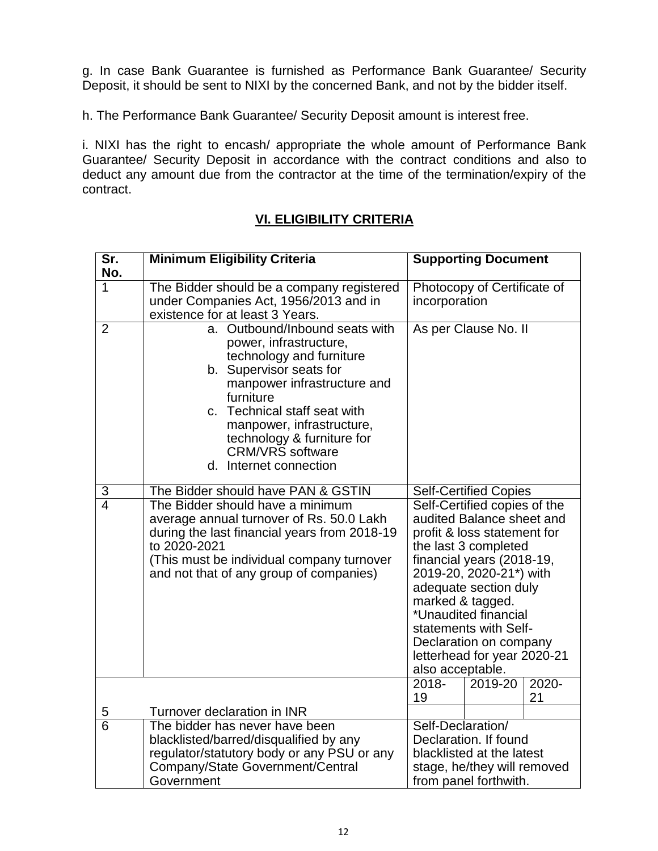g. In case Bank Guarantee is furnished as Performance Bank Guarantee/ Security Deposit, it should be sent to NIXI by the concerned Bank, and not by the bidder itself.

h. The Performance Bank Guarantee/ Security Deposit amount is interest free.

i. NIXI has the right to encash/ appropriate the whole amount of Performance Bank Guarantee/ Security Deposit in accordance with the contract conditions and also to deduct any amount due from the contractor at the time of the termination/expiry of the contract.

## **VI. ELIGIBILITY CRITERIA**

| Sr.<br>No.     | <b>Minimum Eligibility Criteria</b>                                                                                                                                                                                                                                                                                           | <b>Supporting Document</b>                                                                                                                                                                                                                                                                                                                                                       |  |  |  |
|----------------|-------------------------------------------------------------------------------------------------------------------------------------------------------------------------------------------------------------------------------------------------------------------------------------------------------------------------------|----------------------------------------------------------------------------------------------------------------------------------------------------------------------------------------------------------------------------------------------------------------------------------------------------------------------------------------------------------------------------------|--|--|--|
| 1              | The Bidder should be a company registered<br>under Companies Act, 1956/2013 and in<br>existence for at least 3 Years.                                                                                                                                                                                                         | Photocopy of Certificate of<br>incorporation                                                                                                                                                                                                                                                                                                                                     |  |  |  |
| $\overline{2}$ | a. Outbound/Inbound seats with<br>power, infrastructure,<br>technology and furniture<br>b. Supervisor seats for<br>manpower infrastructure and<br>furniture<br>Technical staff seat with<br>$\mathsf{C}$ .<br>manpower, infrastructure,<br>technology & furniture for<br><b>CRM/VRS</b> software<br>Internet connection<br>d. | As per Clause No. II                                                                                                                                                                                                                                                                                                                                                             |  |  |  |
| 3              | The Bidder should have PAN & GSTIN                                                                                                                                                                                                                                                                                            | <b>Self-Certified Copies</b>                                                                                                                                                                                                                                                                                                                                                     |  |  |  |
| $\overline{4}$ | The Bidder should have a minimum<br>average annual turnover of Rs. 50.0 Lakh<br>during the last financial years from 2018-19<br>to 2020-2021<br>(This must be individual company turnover<br>and not that of any group of companies)                                                                                          | Self-Certified copies of the<br>audited Balance sheet and<br>profit & loss statement for<br>the last 3 completed<br>financial years (2018-19,<br>2019-20, 2020-21*) with<br>adequate section duly<br>marked & tagged.<br>*Unaudited financial<br>statements with Self-<br>Declaration on company<br>letterhead for year 2020-21<br>also acceptable.<br>2018-<br>2020-<br>2019-20 |  |  |  |
|                |                                                                                                                                                                                                                                                                                                                               | 19<br>21                                                                                                                                                                                                                                                                                                                                                                         |  |  |  |
| 5              | Turnover declaration in INR                                                                                                                                                                                                                                                                                                   |                                                                                                                                                                                                                                                                                                                                                                                  |  |  |  |
| $\overline{6}$ | The bidder has never have been<br>blacklisted/barred/disqualified by any<br>regulator/statutory body or any PSU or any<br>Company/State Government/Central<br>Government                                                                                                                                                      | Self-Declaration/<br>Declaration. If found<br>blacklisted at the latest<br>stage, he/they will removed<br>from panel forthwith.                                                                                                                                                                                                                                                  |  |  |  |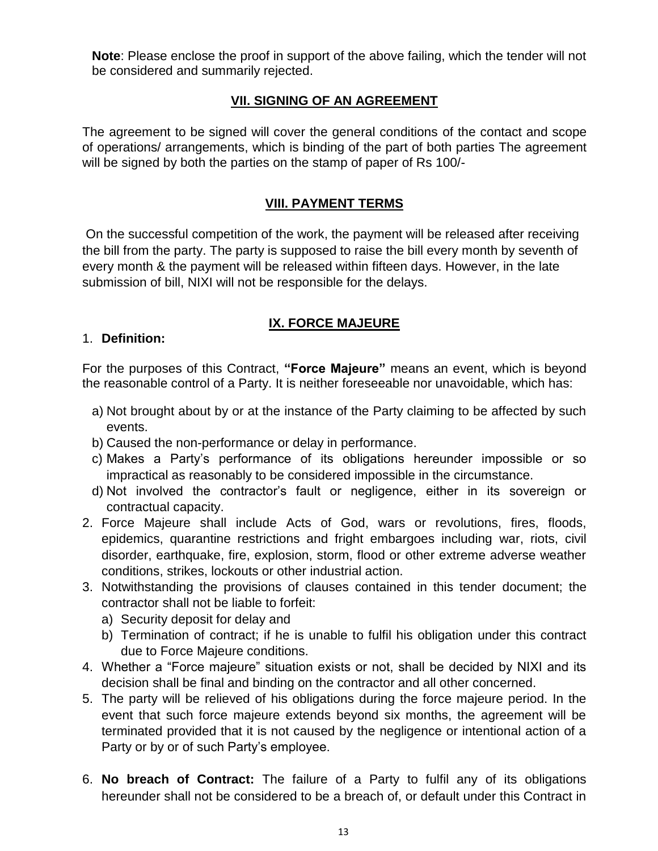**Note**: Please enclose the proof in support of the above failing, which the tender will not be considered and summarily rejected.

## **VII. SIGNING OF AN AGREEMENT**

The agreement to be signed will cover the general conditions of the contact and scope of operations/ arrangements, which is binding of the part of both parties The agreement will be signed by both the parties on the stamp of paper of Rs 100/-

### **VIII. PAYMENT TERMS**

On the successful competition of the work, the payment will be released after receiving the bill from the party. The party is supposed to raise the bill every month by seventh of every month & the payment will be released within fifteen days. However, in the late submission of bill, NIXI will not be responsible for the delays.

## **IX. FORCE MAJEURE**

#### 1. **Definition:**

For the purposes of this Contract, **"Force Majeure"** means an event, which is beyond the reasonable control of a Party. It is neither foreseeable nor unavoidable, which has:

- a) Not brought about by or at the instance of the Party claiming to be affected by such events.
- b) Caused the non-performance or delay in performance.
- c) Makes a Party"s performance of its obligations hereunder impossible or so impractical as reasonably to be considered impossible in the circumstance.
- d) Not involved the contractor"s fault or negligence, either in its sovereign or contractual capacity.
- 2. Force Majeure shall include Acts of God, wars or revolutions, fires, floods, epidemics, quarantine restrictions and fright embargoes including war, riots, civil disorder, earthquake, fire, explosion, storm, flood or other extreme adverse weather conditions, strikes, lockouts or other industrial action.
- 3. Notwithstanding the provisions of clauses contained in this tender document; the contractor shall not be liable to forfeit:
	- a) Security deposit for delay and
	- b) Termination of contract; if he is unable to fulfil his obligation under this contract due to Force Majeure conditions.
- 4. Whether a "Force majeure" situation exists or not, shall be decided by NIXI and its decision shall be final and binding on the contractor and all other concerned.
- 5. The party will be relieved of his obligations during the force majeure period. In the event that such force majeure extends beyond six months, the agreement will be terminated provided that it is not caused by the negligence or intentional action of a Party or by or of such Party's employee.
- 6. **No breach of Contract:** The failure of a Party to fulfil any of its obligations hereunder shall not be considered to be a breach of, or default under this Contract in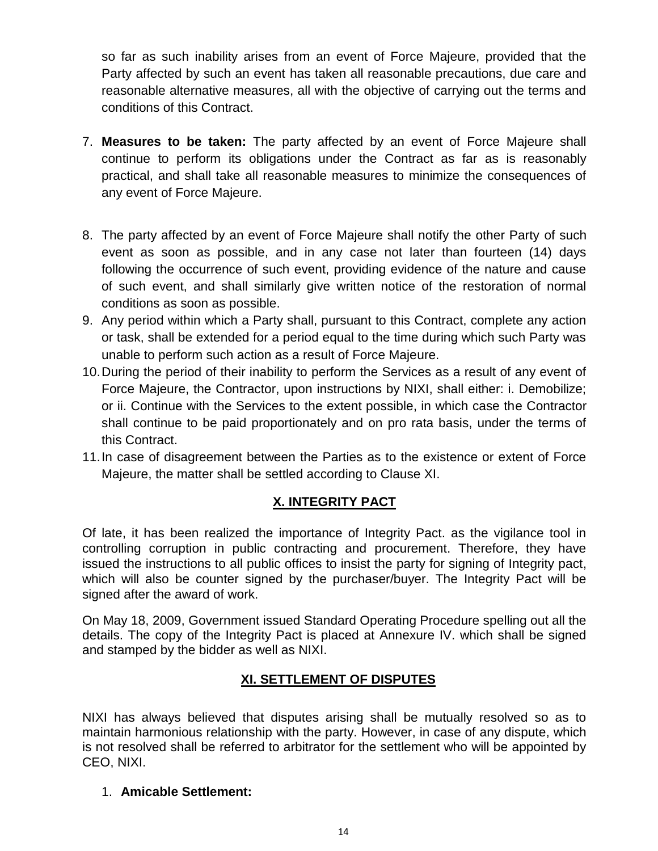so far as such inability arises from an event of Force Majeure, provided that the Party affected by such an event has taken all reasonable precautions, due care and reasonable alternative measures, all with the objective of carrying out the terms and conditions of this Contract.

- 7. **Measures to be taken:** The party affected by an event of Force Majeure shall continue to perform its obligations under the Contract as far as is reasonably practical, and shall take all reasonable measures to minimize the consequences of any event of Force Majeure.
- 8. The party affected by an event of Force Majeure shall notify the other Party of such event as soon as possible, and in any case not later than fourteen (14) days following the occurrence of such event, providing evidence of the nature and cause of such event, and shall similarly give written notice of the restoration of normal conditions as soon as possible.
- 9. Any period within which a Party shall, pursuant to this Contract, complete any action or task, shall be extended for a period equal to the time during which such Party was unable to perform such action as a result of Force Majeure.
- 10.During the period of their inability to perform the Services as a result of any event of Force Majeure, the Contractor, upon instructions by NIXI, shall either: i. Demobilize; or ii. Continue with the Services to the extent possible, in which case the Contractor shall continue to be paid proportionately and on pro rata basis, under the terms of this Contract.
- 11.In case of disagreement between the Parties as to the existence or extent of Force Majeure, the matter shall be settled according to Clause XI.

## **X. INTEGRITY PACT**

Of late, it has been realized the importance of Integrity Pact. as the vigilance tool in controlling corruption in public contracting and procurement. Therefore, they have issued the instructions to all public offices to insist the party for signing of Integrity pact, which will also be counter signed by the purchaser/buyer. The Integrity Pact will be signed after the award of work.

On May 18, 2009, Government issued Standard Operating Procedure spelling out all the details. The copy of the Integrity Pact is placed at Annexure IV. which shall be signed and stamped by the bidder as well as NIXI.

## **XI. SETTLEMENT OF DISPUTES**

NIXI has always believed that disputes arising shall be mutually resolved so as to maintain harmonious relationship with the party. However, in case of any dispute, which is not resolved shall be referred to arbitrator for the settlement who will be appointed by CEO, NIXI.

1. **Amicable Settlement:**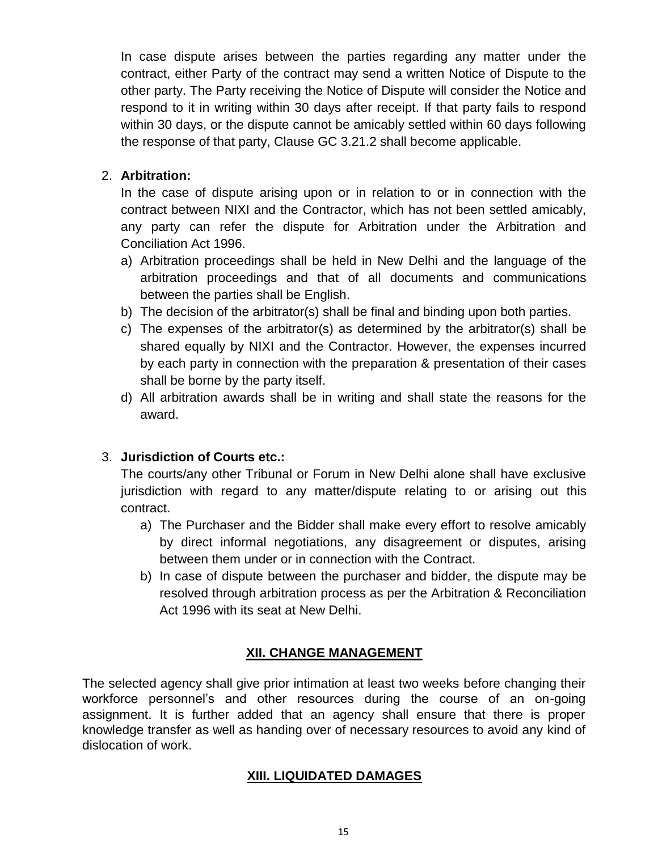In case dispute arises between the parties regarding any matter under the contract, either Party of the contract may send a written Notice of Dispute to the other party. The Party receiving the Notice of Dispute will consider the Notice and respond to it in writing within 30 days after receipt. If that party fails to respond within 30 days, or the dispute cannot be amicably settled within 60 days following the response of that party, Clause GC 3.21.2 shall become applicable.

## 2. **Arbitration:**

In the case of dispute arising upon or in relation to or in connection with the contract between NIXI and the Contractor, which has not been settled amicably, any party can refer the dispute for Arbitration under the Arbitration and Conciliation Act 1996.

- a) Arbitration proceedings shall be held in New Delhi and the language of the arbitration proceedings and that of all documents and communications between the parties shall be English.
- b) The decision of the arbitrator(s) shall be final and binding upon both parties.
- c) The expenses of the arbitrator(s) as determined by the arbitrator(s) shall be shared equally by NIXI and the Contractor. However, the expenses incurred by each party in connection with the preparation & presentation of their cases shall be borne by the party itself.
- d) All arbitration awards shall be in writing and shall state the reasons for the award.

## 3. **Jurisdiction of Courts etc.:**

The courts/any other Tribunal or Forum in New Delhi alone shall have exclusive jurisdiction with regard to any matter/dispute relating to or arising out this contract.

- a) The Purchaser and the Bidder shall make every effort to resolve amicably by direct informal negotiations, any disagreement or disputes, arising between them under or in connection with the Contract.
- b) In case of dispute between the purchaser and bidder, the dispute may be resolved through arbitration process as per the Arbitration & Reconciliation Act 1996 with its seat at New Delhi.

## **XII. CHANGE MANAGEMENT**

The selected agency shall give prior intimation at least two weeks before changing their workforce personnel"s and other resources during the course of an on-going assignment. It is further added that an agency shall ensure that there is proper knowledge transfer as well as handing over of necessary resources to avoid any kind of dislocation of work.

## **XIII. LIQUIDATED DAMAGES**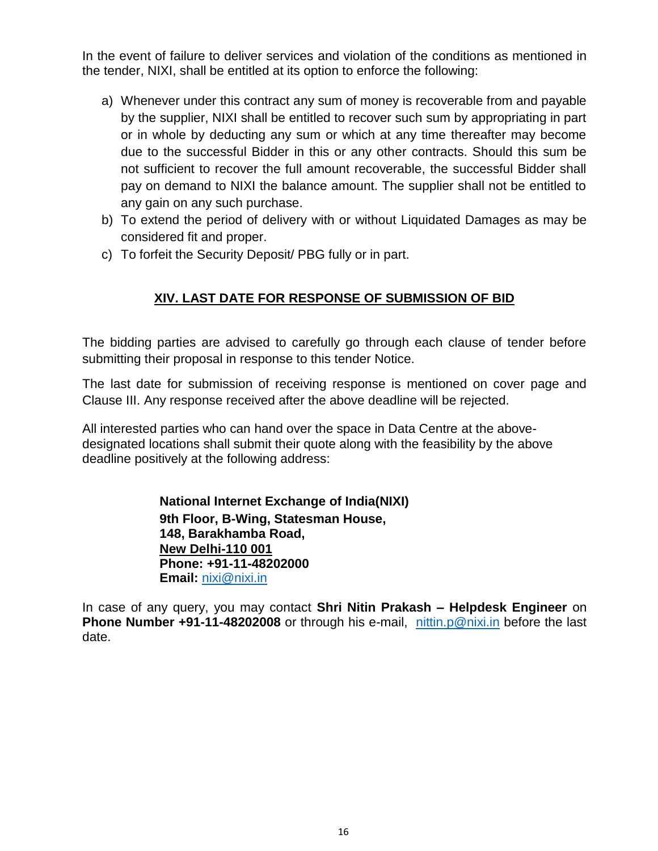In the event of failure to deliver services and violation of the conditions as mentioned in the tender, NIXI, shall be entitled at its option to enforce the following:

- a) Whenever under this contract any sum of money is recoverable from and payable by the supplier, NIXI shall be entitled to recover such sum by appropriating in part or in whole by deducting any sum or which at any time thereafter may become due to the successful Bidder in this or any other contracts. Should this sum be not sufficient to recover the full amount recoverable, the successful Bidder shall pay on demand to NIXI the balance amount. The supplier shall not be entitled to any gain on any such purchase.
- b) To extend the period of delivery with or without Liquidated Damages as may be considered fit and proper.
- c) To forfeit the Security Deposit/ PBG fully or in part.

## **XIV. LAST DATE FOR RESPONSE OF SUBMISSION OF BID**

The bidding parties are advised to carefully go through each clause of tender before submitting their proposal in response to this tender Notice.

The last date for submission of receiving response is mentioned on cover page and Clause III. Any response received after the above deadline will be rejected.

All interested parties who can hand over the space in Data Centre at the abovedesignated locations shall submit their quote along with the feasibility by the above deadline positively at the following address:

> **National Internet Exchange of India(NIXI) 9th Floor, B-Wing, Statesman House, 148, Barakhamba Road, New Delhi-110 001 Phone: +91-11-48202000 Email:** [nixi@nixi.in](mailto:nixi@nixi.in)

In case of any query, you may contact **Shri Nitin Prakash – Helpdesk Engineer** on **Phone Number +91-11-48202008** or through his e-mail, [nittin.p@nixi.in](mailto:nittin.p@nixi.in) before the last date.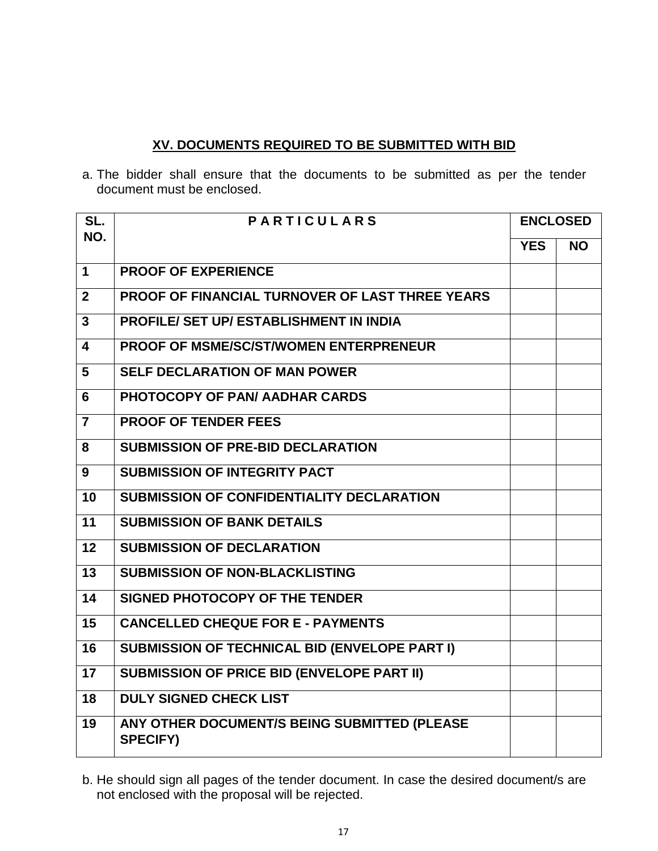### **XV. DOCUMENTS REQUIRED TO BE SUBMITTED WITH BID**

a. The bidder shall ensure that the documents to be submitted as per the tender document must be enclosed.

| SL.             | <b>PARTICULARS</b>                                              |            | <b>ENCLOSED</b> |  |
|-----------------|-----------------------------------------------------------------|------------|-----------------|--|
| NO.             |                                                                 | <b>YES</b> | <b>NO</b>       |  |
| $\mathbf{1}$    | <b>PROOF OF EXPERIENCE</b>                                      |            |                 |  |
| $\overline{2}$  | <b>PROOF OF FINANCIAL TURNOVER OF LAST THREE YEARS</b>          |            |                 |  |
| $\overline{3}$  | <b>PROFILE/ SET UP/ ESTABLISHMENT IN INDIA</b>                  |            |                 |  |
| 4               | <b>PROOF OF MSME/SC/ST/WOMEN ENTERPRENEUR</b>                   |            |                 |  |
| 5               | <b>SELF DECLARATION OF MAN POWER</b>                            |            |                 |  |
| 6               | PHOTOCOPY OF PAN/AADHAR CARDS                                   |            |                 |  |
| $\overline{7}$  | <b>PROOF OF TENDER FEES</b>                                     |            |                 |  |
| 8               | <b>SUBMISSION OF PRE-BID DECLARATION</b>                        |            |                 |  |
| 9               | <b>SUBMISSION OF INTEGRITY PACT</b>                             |            |                 |  |
| 10              | <b>SUBMISSION OF CONFIDENTIALITY DECLARATION</b>                |            |                 |  |
| 11              | <b>SUBMISSION OF BANK DETAILS</b>                               |            |                 |  |
| $\overline{12}$ | <b>SUBMISSION OF DECLARATION</b>                                |            |                 |  |
| 13              | <b>SUBMISSION OF NON-BLACKLISTING</b>                           |            |                 |  |
| 14              | SIGNED PHOTOCOPY OF THE TENDER                                  |            |                 |  |
| 15              | <b>CANCELLED CHEQUE FOR E - PAYMENTS</b>                        |            |                 |  |
| 16              | <b>SUBMISSION OF TECHNICAL BID (ENVELOPE PART I)</b>            |            |                 |  |
| 17              | <b>SUBMISSION OF PRICE BID (ENVELOPE PART II)</b>               |            |                 |  |
| 18              | <b>DULY SIGNED CHECK LIST</b>                                   |            |                 |  |
| 19              | ANY OTHER DOCUMENT/S BEING SUBMITTED (PLEASE<br><b>SPECIFY)</b> |            |                 |  |

b. He should sign all pages of the tender document. In case the desired document/s are not enclosed with the proposal will be rejected.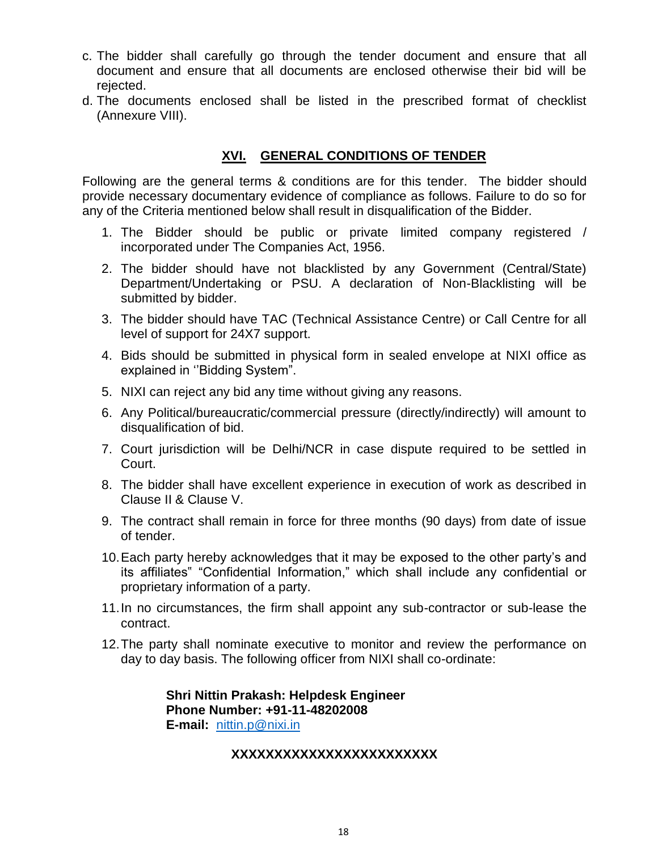- c. The bidder shall carefully go through the tender document and ensure that all document and ensure that all documents are enclosed otherwise their bid will be rejected.
- d. The documents enclosed shall be listed in the prescribed format of checklist (Annexure VIII).

#### **XVI. GENERAL CONDITIONS OF TENDER**

Following are the general terms & conditions are for this tender. The bidder should provide necessary documentary evidence of compliance as follows. Failure to do so for any of the Criteria mentioned below shall result in disqualification of the Bidder.

- 1. The Bidder should be public or private limited company registered / incorporated under The Companies Act, 1956.
- 2. The bidder should have not blacklisted by any Government (Central/State) Department/Undertaking or PSU. A declaration of Non-Blacklisting will be submitted by bidder.
- 3. The bidder should have TAC (Technical Assistance Centre) or Call Centre for all level of support for 24X7 support.
- 4. Bids should be submitted in physical form in sealed envelope at NIXI office as explained in "Bidding System".
- 5. NIXI can reject any bid any time without giving any reasons.
- 6. Any Political/bureaucratic/commercial pressure (directly/indirectly) will amount to disqualification of bid.
- 7. Court jurisdiction will be Delhi/NCR in case dispute required to be settled in Court.
- 8. The bidder shall have excellent experience in execution of work as described in Clause II & Clause V.
- 9. The contract shall remain in force for three months (90 days) from date of issue of tender.
- 10.Each party hereby acknowledges that it may be exposed to the other party"s and its affiliates" "Confidential Information," which shall include any confidential or proprietary information of a party.
- 11.In no circumstances, the firm shall appoint any sub-contractor or sub-lease the contract.
- 12.The party shall nominate executive to monitor and review the performance on day to day basis. The following officer from NIXI shall co-ordinate:

**Shri Nittin Prakash: Helpdesk Engineer Phone Number: +91-11-48202008 E-mail:** [nittin.p@nixi.in](mailto:nittin.p@nixi.in)

#### **XXXXXXXXXXXXXXXXXXXXXXXX**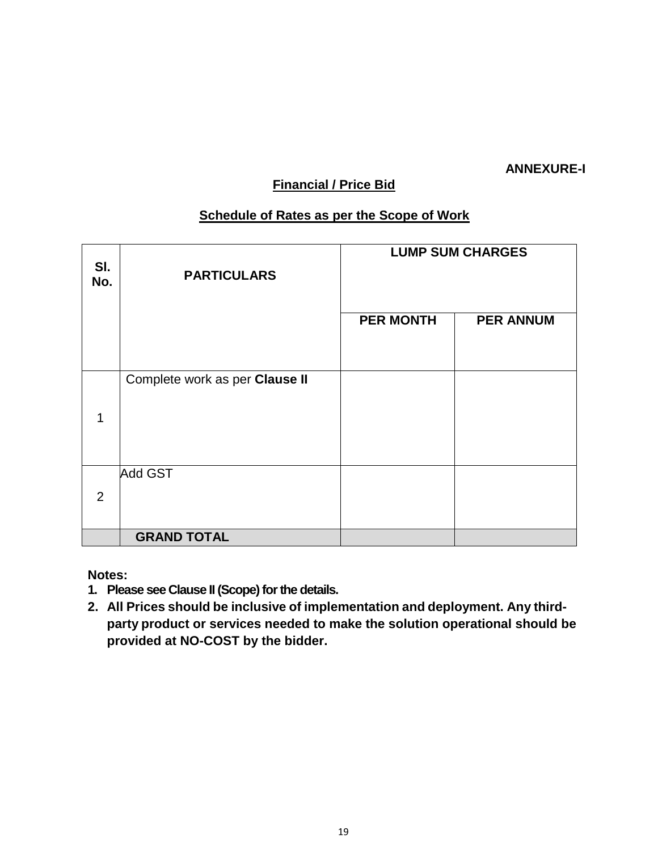### **ANNEXURE-I**

## **Financial / Price Bid**

## **Schedule of Rates as per the Scope of Work**

| SI.<br>No. | <b>PARTICULARS</b>             | <b>LUMP SUM CHARGES</b> |                  |  |  |
|------------|--------------------------------|-------------------------|------------------|--|--|
|            |                                | <b>PER MONTH</b>        | <b>PER ANNUM</b> |  |  |
| 1          | Complete work as per Clause II |                         |                  |  |  |
| 2          | <b>Add GST</b>                 |                         |                  |  |  |
|            | <b>GRAND TOTAL</b>             |                         |                  |  |  |

**Notes:**

- **1. Please see Clause II (Scope) for the details.**
- **2. All Prices should be inclusive of implementation and deployment. Any thirdparty product or services needed to make the solution operational should be provided at NO-COST by the bidder.**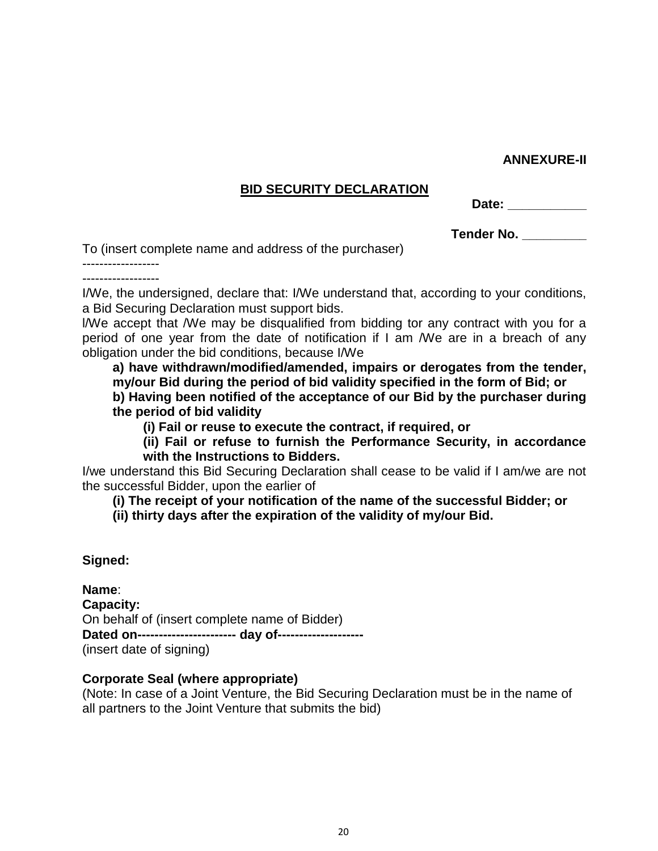#### **ANNEXURE-II**

#### **BID SECURITY DECLARATION**

| ופו<br>. .<br>т.<br>Uat.<br>. . |  |
|---------------------------------|--|
|---------------------------------|--|

**Tender No. \_\_\_\_\_\_\_\_\_** 

To (insert complete name and address of the purchaser)

------------------ ------------------

I/We, the undersigned, declare that: I/We understand that, according to your conditions, a Bid Securing Declaration must support bids.

l/We accept that /We may be disqualified from bidding tor any contract with you for a period of one year from the date of notification if I am /We are in a breach of any obligation under the bid conditions, because I/We

**a) have withdrawn/modified/amended, impairs or derogates from the tender, my/our Bid during the period of bid validity specified in the form of Bid; or b) Having been notified of the acceptance of our Bid by the purchaser during the period of bid validity**

**(i) Fail or reuse to execute the contract, if required, or** 

**(ii) Fail or refuse to furnish the Performance Security, in accordance with the Instructions to Bidders.** 

I/we understand this Bid Securing Declaration shall cease to be valid if I am/we are not the successful Bidder, upon the earlier of

**(i) The receipt of your notification of the name of the successful Bidder; or** 

**(ii) thirty days after the expiration of the validity of my/our Bid.** 

**Signed:**

**Name**: **Capacity:** On behalf of (insert complete name of Bidder) **Dated on----------------------- day of--------------------** (insert date of signing)

#### **Corporate Seal (where appropriate)**

(Note: In case of a Joint Venture, the Bid Securing Declaration must be in the name of all partners to the Joint Venture that submits the bid)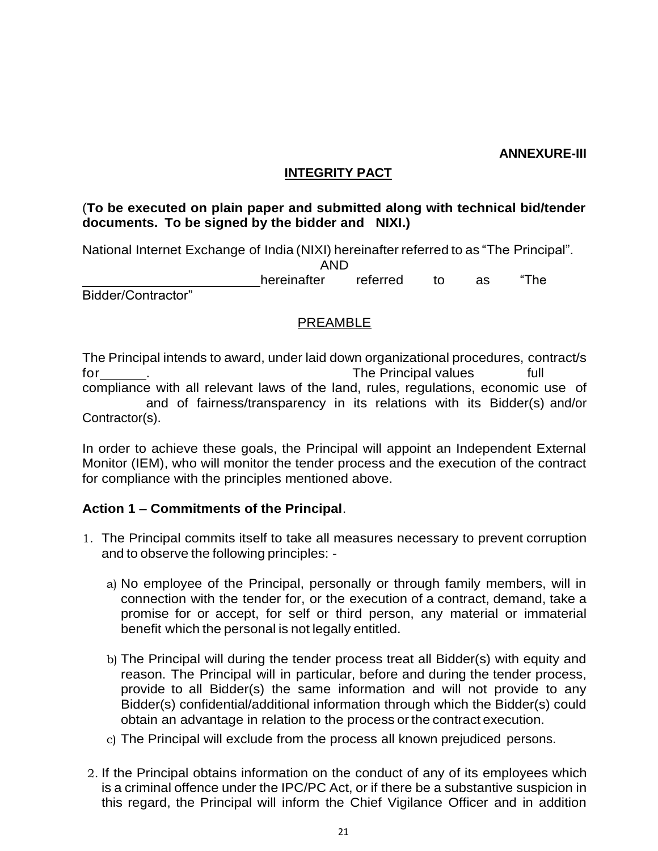#### **ANNEXURE-III**

## **INTEGRITY PACT**

#### (**To be executed on plain paper and submitted along with technical bid/tender documents. To be signed by the bidder and NIXI.)**

National Internet Exchange of India (NIXI) hereinafter referred to as "The Principal".

AND

hereinafter referred to as "The

Bidder/Contractor"

### PREAMBLE

The Principal intends to award, under laid down organizational procedures, contract/s for the Principal values full that the Principal values full that the Principal values full compliance with all relevant laws of the land, rules, regulations, economic use of and of fairness/transparency in its relations with its Bidder(s) and/or Contractor(s).

In order to achieve these goals, the Principal will appoint an Independent External Monitor (IEM), who will monitor the tender process and the execution of the contract for compliance with the principles mentioned above.

## **Action 1 – Commitments of the Principal**.

- 1. The Principal commits itself to take all measures necessary to prevent corruption and to observe the following principles:
	- a) No employee of the Principal, personally or through family members, will in connection with the tender for, or the execution of a contract, demand, take a promise for or accept, for self or third person, any material or immaterial benefit which the personal is not legally entitled.
	- b) The Principal will during the tender process treat all Bidder(s) with equity and reason. The Principal will in particular, before and during the tender process, provide to all Bidder(s) the same information and will not provide to any Bidder(s) confidential/additional information through which the Bidder(s) could obtain an advantage in relation to the process orthe contract execution.
	- c) The Principal will exclude from the process all known prejudiced persons.
- 2. If the Principal obtains information on the conduct of any of its employees which is a criminal offence under the IPC/PC Act, or if there be a substantive suspicion in this regard, the Principal will inform the Chief Vigilance Officer and in addition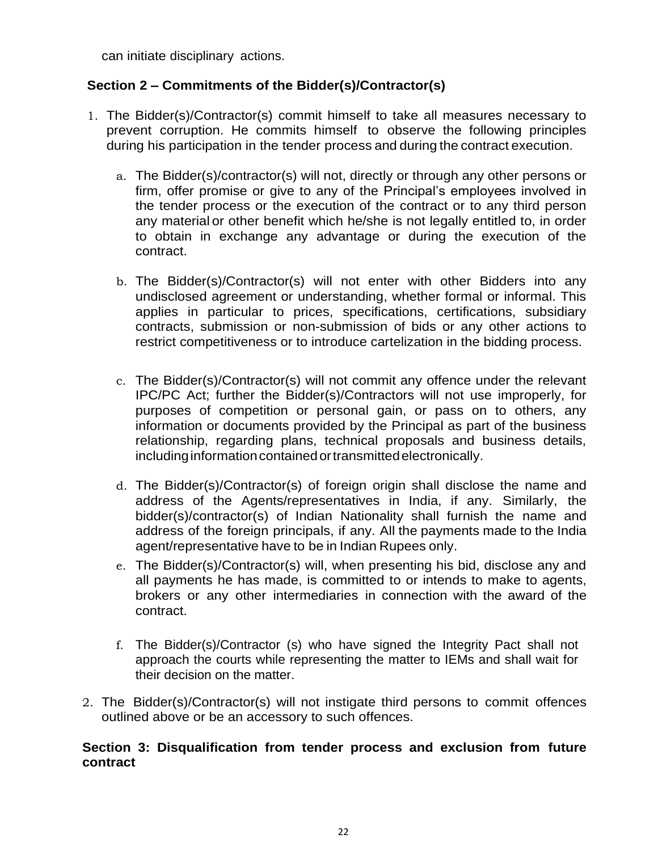can initiate disciplinary actions.

### **Section 2 – Commitments of the Bidder(s)/Contractor(s)**

- 1. The Bidder(s)/Contractor(s) commit himself to take all measures necessary to prevent corruption. He commits himself to observe the following principles during his participation in the tender process and during the contract execution.
	- a. The Bidder(s)/contractor(s) will not, directly or through any other persons or firm, offer promise or give to any of the Principal's employees involved in the tender process or the execution of the contract or to any third person any material or other benefit which he/she is not legally entitled to, in order to obtain in exchange any advantage or during the execution of the contract.
	- b. The Bidder(s)/Contractor(s) will not enter with other Bidders into any undisclosed agreement or understanding, whether formal or informal. This applies in particular to prices, specifications, certifications, subsidiary contracts, submission or non-submission of bids or any other actions to restrict competitiveness or to introduce cartelization in the bidding process.
	- c. The Bidder(s)/Contractor(s) will not commit any offence under the relevant IPC/PC Act; further the Bidder(s)/Contractors will not use improperly, for purposes of competition or personal gain, or pass on to others, any information or documents provided by the Principal as part of the business relationship, regarding plans, technical proposals and business details, including information contained or transmitted electronically.
	- d. The Bidder(s)/Contractor(s) of foreign origin shall disclose the name and address of the Agents/representatives in India, if any. Similarly, the bidder(s)/contractor(s) of Indian Nationality shall furnish the name and address of the foreign principals, if any. All the payments made to the India agent/representative have to be in Indian Rupees only.
	- e. The Bidder(s)/Contractor(s) will, when presenting his bid, disclose any and all payments he has made, is committed to or intends to make to agents, brokers or any other intermediaries in connection with the award of the contract.
	- f. The Bidder(s)/Contractor (s) who have signed the Integrity Pact shall not approach the courts while representing the matter to IEMs and shall wait for their decision on the matter.
- 2. The Bidder(s)/Contractor(s) will not instigate third persons to commit offences outlined above or be an accessory to such offences.

#### **Section 3: Disqualification from tender process and exclusion from future contract**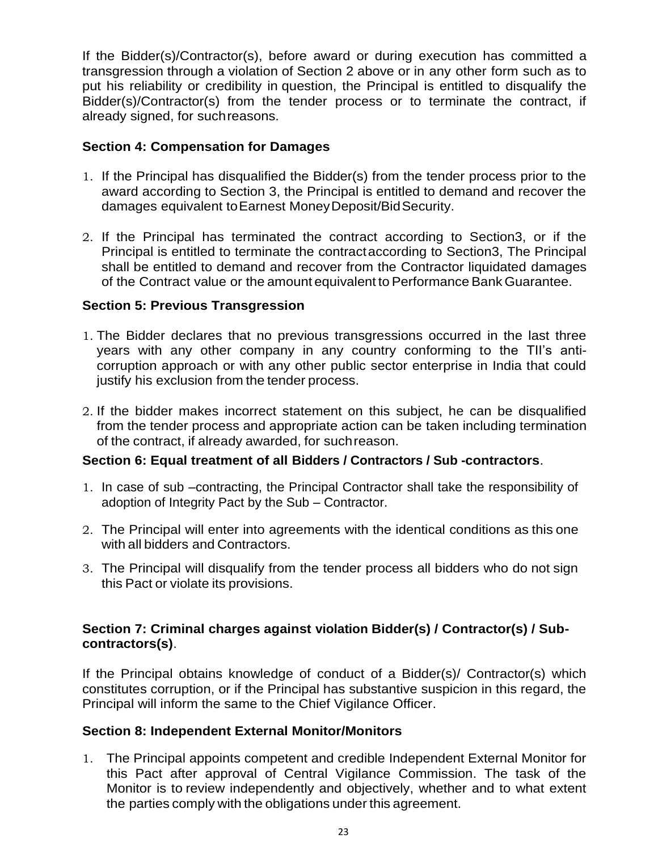If the Bidder(s)/Contractor(s), before award or during execution has committed a transgression through a violation of Section 2 above or in any other form such as to put his reliability or credibility in question, the Principal is entitled to disqualify the Bidder(s)/Contractor(s) from the tender process or to terminate the contract, if already signed, for suchreasons.

### **Section 4: Compensation for Damages**

- 1. If the Principal has disqualified the Bidder(s) from the tender process prior to the award according to Section 3, the Principal is entitled to demand and recover the damages equivalent toEarnest MoneyDeposit/BidSecurity.
- 2. If the Principal has terminated the contract according to Section3, or if the Principal is entitled to terminate the contractaccording to Section3, The Principal shall be entitled to demand and recover from the Contractor liquidated damages of the Contract value or the amount equivalent to Performance Bank Guarantee.

### **Section 5: Previous Transgression**

- 1. The Bidder declares that no previous transgressions occurred in the last three years with any other company in any country conforming to the TII"s anticorruption approach or with any other public sector enterprise in India that could justify his exclusion from the tender process.
- 2. If the bidder makes incorrect statement on this subject, he can be disqualified from the tender process and appropriate action can be taken including termination of the contract, if already awarded, for suchreason.

#### **Section 6: Equal treatment of all Bidders / Contractors / Sub -contractors**.

- 1. In case of sub –contracting, the Principal Contractor shall take the responsibility of adoption of Integrity Pact by the Sub – Contractor.
- 2. The Principal will enter into agreements with the identical conditions as this one with all bidders and Contractors.
- 3. The Principal will disqualify from the tender process all bidders who do not sign this Pact or violate its provisions.

### **Section 7: Criminal charges against violation Bidder(s) / Contractor(s) / Subcontractors(s)**.

If the Principal obtains knowledge of conduct of a Bidder(s)/ Contractor(s) which constitutes corruption, or if the Principal has substantive suspicion in this regard, the Principal will inform the same to the Chief Vigilance Officer.

#### **Section 8: Independent External Monitor/Monitors**

1. The Principal appoints competent and credible Independent External Monitor for this Pact after approval of Central Vigilance Commission. The task of the Monitor is to review independently and objectively, whether and to what extent the parties comply with the obligations under this agreement.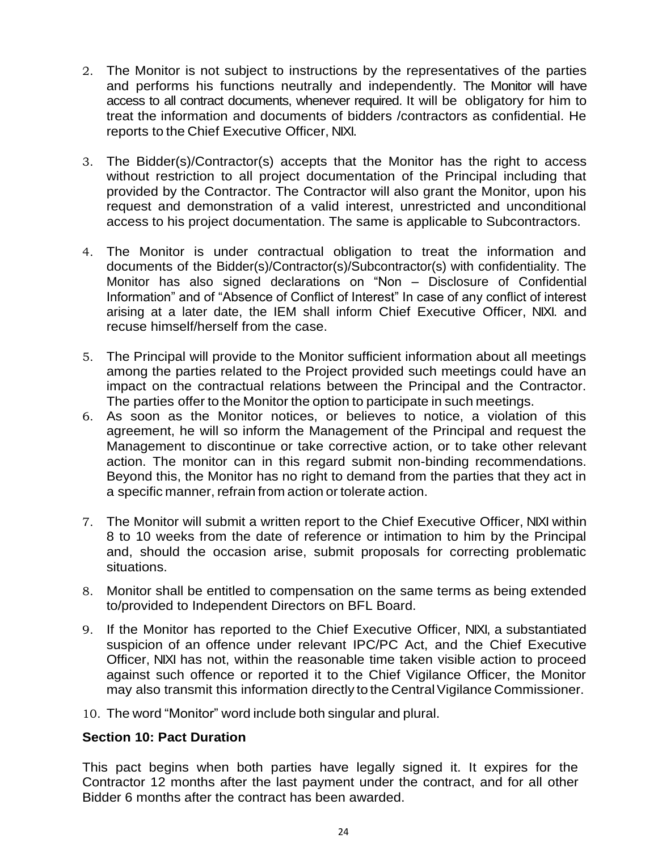- 2. The Monitor is not subject to instructions by the representatives of the parties and performs his functions neutrally and independently. The Monitor will have access to all contract documents, whenever required. It will be obligatory for him to treat the information and documents of bidders /contractors as confidential. He reports to the Chief Executive Officer, NIXI.
- 3. The Bidder(s)/Contractor(s) accepts that the Monitor has the right to access without restriction to all project documentation of the Principal including that provided by the Contractor. The Contractor will also grant the Monitor, upon his request and demonstration of a valid interest, unrestricted and unconditional access to his project documentation. The same is applicable to Subcontractors.
- 4. The Monitor is under contractual obligation to treat the information and documents of the Bidder(s)/Contractor(s)/Subcontractor(s) with confidentiality. The Monitor has also signed declarations on "Non – Disclosure of Confidential Information" and of "Absence of Conflict of Interest" In case of any conflict of interest arising at a later date, the IEM shall inform Chief Executive Officer, NIXI. and recuse himself/herself from the case.
- 5. The Principal will provide to the Monitor sufficient information about all meetings among the parties related to the Project provided such meetings could have an impact on the contractual relations between the Principal and the Contractor. The parties offer to the Monitor the option to participate in such meetings.
- 6. As soon as the Monitor notices, or believes to notice, a violation of this agreement, he will so inform the Management of the Principal and request the Management to discontinue or take corrective action, or to take other relevant action. The monitor can in this regard submit non-binding recommendations. Beyond this, the Monitor has no right to demand from the parties that they act in a specific manner, refrain from action or tolerate action.
- 7. The Monitor will submit a written report to the Chief Executive Officer, NIXI within 8 to 10 weeks from the date of reference or intimation to him by the Principal and, should the occasion arise, submit proposals for correcting problematic situations.
- 8. Monitor shall be entitled to compensation on the same terms as being extended to/provided to Independent Directors on BFL Board.
- 9. If the Monitor has reported to the Chief Executive Officer, NIXI, a substantiated suspicion of an offence under relevant IPC/PC Act, and the Chief Executive Officer, NIXI has not, within the reasonable time taken visible action to proceed against such offence or reported it to the Chief Vigilance Officer, the Monitor may also transmit this information directly to the Central Vigilance Commissioner.
- 10. The word "Monitor" word include both singular and plural.

#### **Section 10: Pact Duration**

This pact begins when both parties have legally signed it. It expires for the Contractor 12 months after the last payment under the contract, and for all other Bidder 6 months after the contract has been awarded.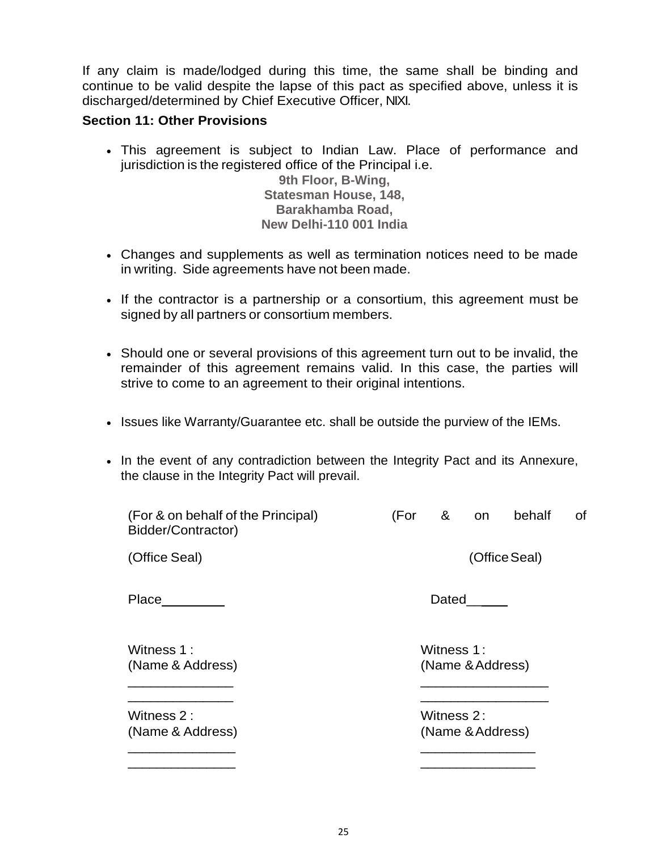If any claim is made/lodged during this time, the same shall be binding and continue to be valid despite the lapse of this pact as specified above, unless it is discharged/determined by Chief Executive Officer, NIXI.

#### **Section 11: Other Provisions**

 This agreement is subject to Indian Law. Place of performance and jurisdiction is the registered office of the Principal i.e.

**9th Floor, B-Wing, Statesman House, 148, Barakhamba Road, New Delhi-110 001 India**

- Changes and supplements as well as termination notices need to be made in writing. Side agreements have not been made.
- If the contractor is a partnership or a consortium, this agreement must be signed by all partners or consortium members.
- Should one or several provisions of this agreement turn out to be invalid, the remainder of this agreement remains valid. In this case, the parties will strive to come to an agreement to their original intentions.
- Issues like Warranty/Guarantee etc. shall be outside the purview of the IEMs.
- In the event of any contradiction between the Integrity Pact and its Annexure, the clause in the Integrity Pact will prevail.

| (For & on behalf of the Principal)<br>Bidder/Contractor) | (For                           | &          | on               | behalf | οf |
|----------------------------------------------------------|--------------------------------|------------|------------------|--------|----|
| (Office Seal)                                            | (Office Seal)                  |            |                  |        |    |
| Place                                                    | Dated                          |            |                  |        |    |
| Witness 1:<br>(Name & Address)                           |                                | Witness 1: | (Name & Address) |        |    |
| Witness 2:<br>(Name & Address)                           | Witness 2:<br>(Name & Address) |            |                  |        |    |
|                                                          |                                |            |                  |        |    |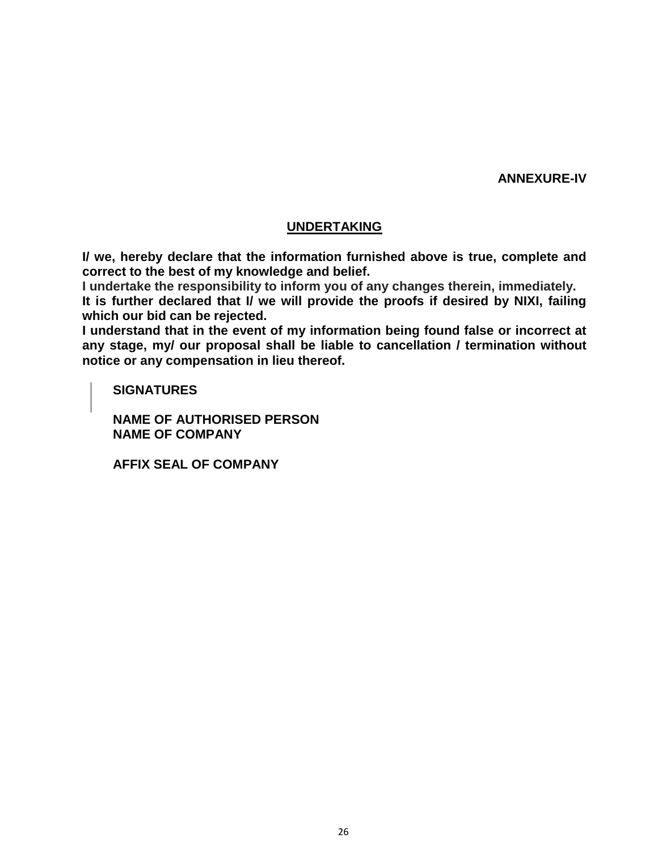**ANNEXURE-IV**

#### **UNDERTAKING**

**I/ we, hereby declare that the information furnished above is true, complete and correct to the best of my knowledge and belief.**

**I undertake the responsibility to inform you of any changes therein, immediately.**

**It is further declared that I/ we will provide the proofs if desired by NIXI, failing which our bid can be rejected.**

**I understand that in the event of my information being found false or incorrect at any stage, my/ our proposal shall be liable to cancellation / termination without notice or any compensation in lieu thereof.**

**SIGNATURES**

**NAME OF AUTHORISED PERSON NAME OF COMPANY**

**AFFIX SEAL OF COMPANY**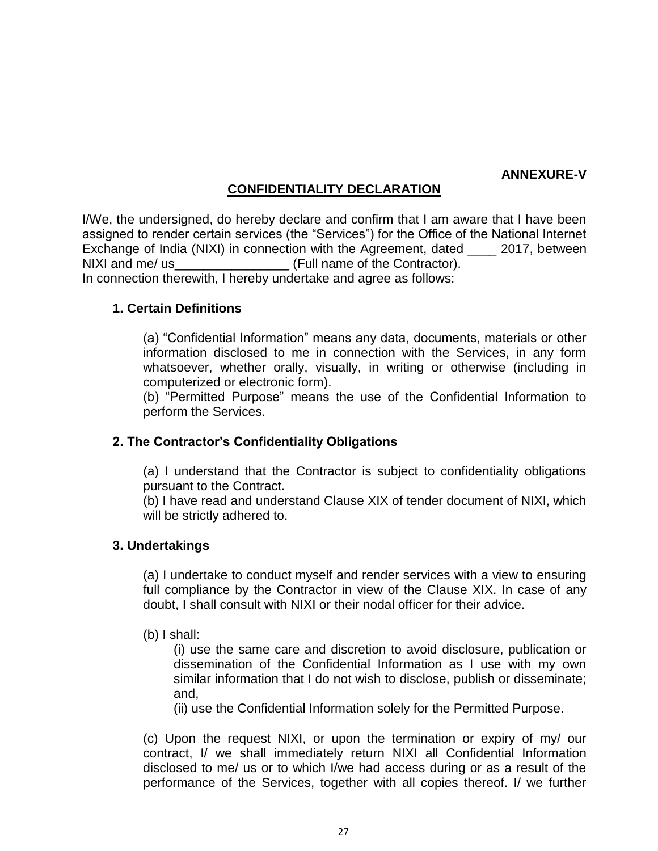#### **ANNEXURE-V**

### **CONFIDENTIALITY DECLARATION**

I/We, the undersigned, do hereby declare and confirm that I am aware that I have been assigned to render certain services (the "Services") for the Office of the National Internet Exchange of India (NIXI) in connection with the Agreement, dated 2017, between NIXI and me/ us **NIXI and me/** us In connection therewith, I hereby undertake and agree as follows:

#### **1. Certain Definitions**

(a) "Confidential Information" means any data, documents, materials or other information disclosed to me in connection with the Services, in any form whatsoever, whether orally, visually, in writing or otherwise (including in computerized or electronic form).

(b) "Permitted Purpose" means the use of the Confidential Information to perform the Services.

#### **2. The Contractor"s Confidentiality Obligations**

(a) I understand that the Contractor is subject to confidentiality obligations pursuant to the Contract.

(b) I have read and understand Clause XIX of tender document of NIXI, which will be strictly adhered to.

#### **3. Undertakings**

(a) I undertake to conduct myself and render services with a view to ensuring full compliance by the Contractor in view of the Clause XIX. In case of any doubt, I shall consult with NIXI or their nodal officer for their advice.

(b) I shall:

(i) use the same care and discretion to avoid disclosure, publication or dissemination of the Confidential Information as I use with my own similar information that I do not wish to disclose, publish or disseminate; and,

(ii) use the Confidential Information solely for the Permitted Purpose.

(c) Upon the request NIXI, or upon the termination or expiry of my/ our contract, I/ we shall immediately return NIXI all Confidential Information disclosed to me/ us or to which I/we had access during or as a result of the performance of the Services, together with all copies thereof. I/ we further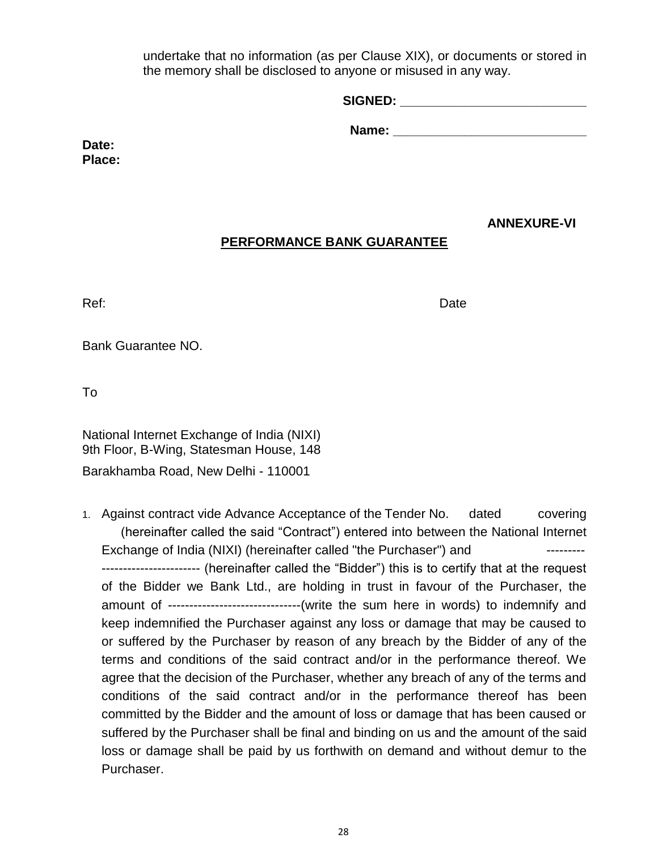undertake that no information (as per Clause XIX), or documents or stored in the memory shall be disclosed to anyone or misused in any way.

| <b>SIGNED:</b> |  |  |  |
|----------------|--|--|--|
|                |  |  |  |

**Name:**  $\blacksquare$ 

**Date: Place:**

## **ANNEXURE-VI**

## **PERFORMANCE BANK GUARANTEE**

Ref: Date Date Date Design and the United States of the United States of the United States of the United States

Bank Guarantee NO.

To

National Internet Exchange of India (NIXI) 9th Floor, B-Wing, Statesman House, 148 Barakhamba Road, New Delhi - 110001

1. Against contract vide Advance Acceptance of the Tender No. dated covering (hereinafter called the said "Contract") entered into between the National Internet Exchange of India (NIXI) (hereinafter called "the Purchaser") and  $\cdots$ ----------------------- (hereinafter called the "Bidder") this is to certify that at the request of the Bidder we Bank Ltd., are holding in trust in favour of the Purchaser, the amount of -------------------------------(write the sum here in words) to indemnify and keep indemnified the Purchaser against any loss or damage that may be caused to or suffered by the Purchaser by reason of any breach by the Bidder of any of the terms and conditions of the said contract and/or in the performance thereof. We agree that the decision of the Purchaser, whether any breach of any of the terms and conditions of the said contract and/or in the performance thereof has been committed by the Bidder and the amount of loss or damage that has been caused or suffered by the Purchaser shall be final and binding on us and the amount of the said loss or damage shall be paid by us forthwith on demand and without demur to the Purchaser.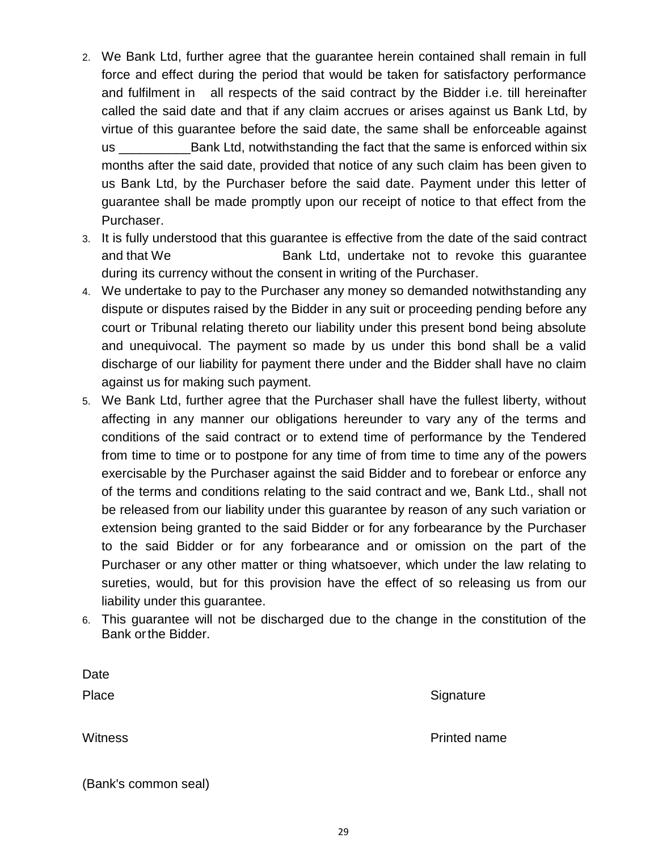- 2. We Bank Ltd, further agree that the guarantee herein contained shall remain in full force and effect during the period that would be taken for satisfactory performance and fulfilment in all respects of the said contract by the Bidder i.e. till hereinafter called the said date and that if any claim accrues or arises against us Bank Ltd, by virtue of this guarantee before the said date, the same shall be enforceable against us \_\_\_\_\_\_\_\_\_\_Bank Ltd, notwithstanding the fact that the same is enforced within six months after the said date, provided that notice of any such claim has been given to us Bank Ltd, by the Purchaser before the said date. Payment under this letter of guarantee shall be made promptly upon our receipt of notice to that effect from the Purchaser.
- 3. It is fully understood that this guarantee is effective from the date of the said contract and that We **Bank Ltd, undertake not to revoke this quarantee** during its currency without the consent in writing of the Purchaser.
- 4. We undertake to pay to the Purchaser any money so demanded notwithstanding any dispute or disputes raised by the Bidder in any suit or proceeding pending before any court or Tribunal relating thereto our liability under this present bond being absolute and unequivocal. The payment so made by us under this bond shall be a valid discharge of our liability for payment there under and the Bidder shall have no claim against us for making such payment.
- 5. We Bank Ltd, further agree that the Purchaser shall have the fullest liberty, without affecting in any manner our obligations hereunder to vary any of the terms and conditions of the said contract or to extend time of performance by the Tendered from time to time or to postpone for any time of from time to time any of the powers exercisable by the Purchaser against the said Bidder and to forebear or enforce any of the terms and conditions relating to the said contract and we, Bank Ltd., shall not be released from our liability under this guarantee by reason of any such variation or extension being granted to the said Bidder or for any forbearance by the Purchaser to the said Bidder or for any forbearance and or omission on the part of the Purchaser or any other matter or thing whatsoever, which under the law relating to sureties, would, but for this provision have the effect of so releasing us from our liability under this guarantee.
- 6. This guarantee will not be discharged due to the change in the constitution of the Bank orthe Bidder.

| Date                 |                     |
|----------------------|---------------------|
| Place                | Signature           |
| <b>Witness</b>       | <b>Printed name</b> |
| (Bank's common seal) |                     |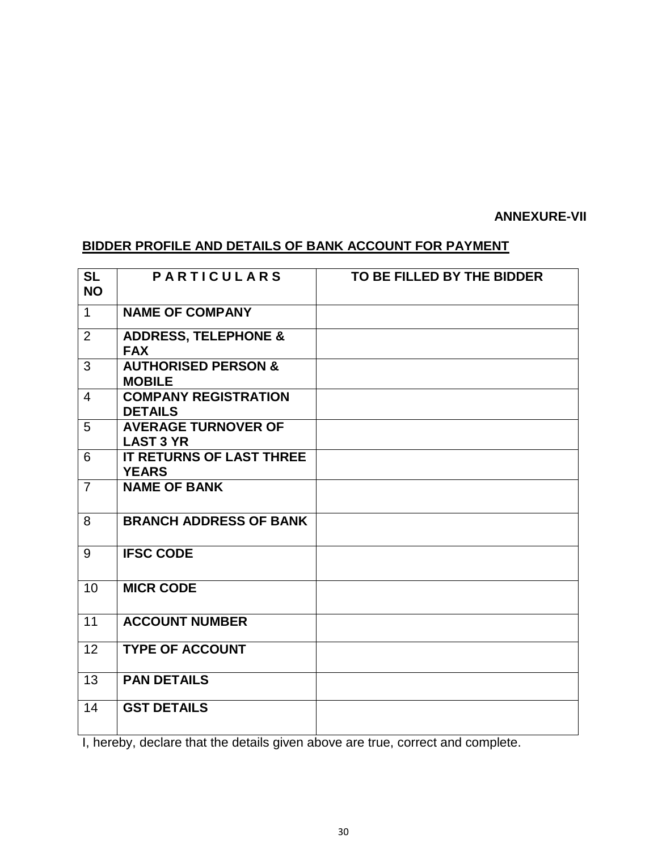#### **ANNEXURE-VII**

# **BIDDER PROFILE AND DETAILS OF BANK ACCOUNT FOR PAYMENT**

| <b>SL</b><br><b>NO</b> | <b>PARTICULARS</b>                              | TO BE FILLED BY THE BIDDER |
|------------------------|-------------------------------------------------|----------------------------|
| $\mathbf 1$            | <b>NAME OF COMPANY</b>                          |                            |
| 2                      | <b>ADDRESS, TELEPHONE &amp;</b><br><b>FAX</b>   |                            |
| 3                      | <b>AUTHORISED PERSON &amp;</b><br><b>MOBILE</b> |                            |
| $\overline{4}$         | <b>COMPANY REGISTRATION</b><br><b>DETAILS</b>   |                            |
| 5                      | <b>AVERAGE TURNOVER OF</b><br><b>LAST 3 YR</b>  |                            |
| 6                      | <b>IT RETURNS OF LAST THREE</b><br><b>YEARS</b> |                            |
| $\overline{7}$         | <b>NAME OF BANK</b>                             |                            |
| 8                      | <b>BRANCH ADDRESS OF BANK</b>                   |                            |
| 9                      | <b>IFSC CODE</b>                                |                            |
| 10                     | <b>MICR CODE</b>                                |                            |
| 11                     | <b>ACCOUNT NUMBER</b>                           |                            |
| 12                     | <b>TYPE OF ACCOUNT</b>                          |                            |
| 13                     | <b>PAN DETAILS</b>                              |                            |
| 14                     | <b>GST DETAILS</b>                              |                            |

I, hereby, declare that the details given above are true, correct and complete.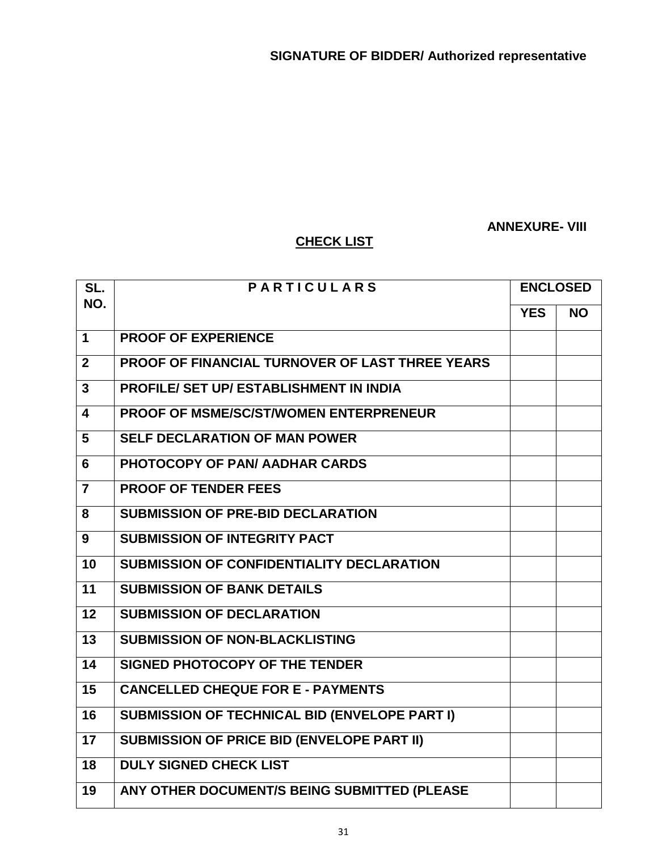## **ANNEXURE- VIII**

## **CHECK LIST**

| SL.            | <b>PARTICULARS</b>                                     | <b>ENCLOSED</b> |           |
|----------------|--------------------------------------------------------|-----------------|-----------|
| NO.            |                                                        | <b>YES</b>      | <b>NO</b> |
| 1              | <b>PROOF OF EXPERIENCE</b>                             |                 |           |
| $\mathbf{2}$   | <b>PROOF OF FINANCIAL TURNOVER OF LAST THREE YEARS</b> |                 |           |
| 3              | <b>PROFILE/ SET UP/ ESTABLISHMENT IN INDIA</b>         |                 |           |
| 4              | <b>PROOF OF MSME/SC/ST/WOMEN ENTERPRENEUR</b>          |                 |           |
| 5              | <b>SELF DECLARATION OF MAN POWER</b>                   |                 |           |
| 6              | PHOTOCOPY OF PAN/AADHAR CARDS                          |                 |           |
| $\overline{7}$ | <b>PROOF OF TENDER FEES</b>                            |                 |           |
| 8              | <b>SUBMISSION OF PRE-BID DECLARATION</b>               |                 |           |
| 9              | <b>SUBMISSION OF INTEGRITY PACT</b>                    |                 |           |
| 10             | <b>SUBMISSION OF CONFIDENTIALITY DECLARATION</b>       |                 |           |
| 11             | <b>SUBMISSION OF BANK DETAILS</b>                      |                 |           |
| 12             | <b>SUBMISSION OF DECLARATION</b>                       |                 |           |
| 13             | <b>SUBMISSION OF NON-BLACKLISTING</b>                  |                 |           |
| 14             | <b>SIGNED PHOTOCOPY OF THE TENDER</b>                  |                 |           |
| 15             | <b>CANCELLED CHEQUE FOR E - PAYMENTS</b>               |                 |           |
| 16             | <b>SUBMISSION OF TECHNICAL BID (ENVELOPE PART I)</b>   |                 |           |
| 17             | <b>SUBMISSION OF PRICE BID (ENVELOPE PART II)</b>      |                 |           |
| 18             | <b>DULY SIGNED CHECK LIST</b>                          |                 |           |
| 19             | ANY OTHER DOCUMENT/S BEING SUBMITTED (PLEASE           |                 |           |